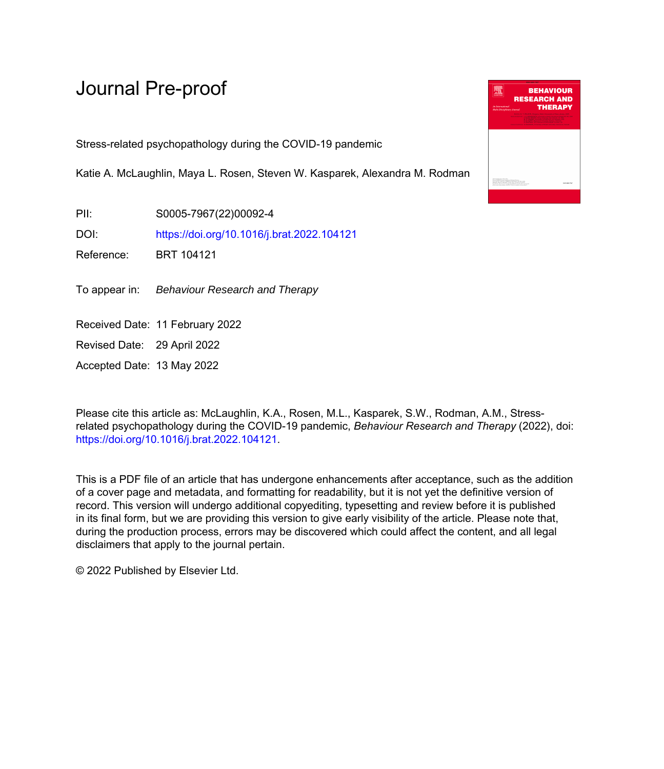Stress-related psychopathology during the COVID-19 pandemic

Katie A. McLaughlin, Maya L. Rosen, Steven W. Kasparek, Alexandra M. Rodman

PII: S0005-7967(22)00092-4

DOI: <https://doi.org/10.1016/j.brat.2022.104121>

Reference: BRT 104121

To appear in: Behaviour Research and Therapy

Received Date: 11 February 2022

Revised Date: 29 April 2022

Accepted Date: 13 May 2022

Please cite this article as: McLaughlin, K.A., Rosen, M.L., Kasparek, S.W., Rodman, A.M., Stressrelated psychopathology during the COVID-19 pandemic, *Behaviour Research and Therapy* (2022), doi: [https://doi.org/10.1016/j.brat.2022.104121.](https://doi.org/10.1016/j.brat.2022.104121)

This is a PDF file of an article that has undergone enhancements after acceptance, such as the addition of a cover page and metadata, and formatting for readability, but it is not yet the definitive version of record. This version will undergo additional copyediting, typesetting and review before it is published in its final form, but we are providing this version to give early visibility of the article. Please note that, during the production process, errors may be discovered which could affect the content, and all legal disclaimers that apply to the journal pertain.

© 2022 Published by Elsevier Ltd.

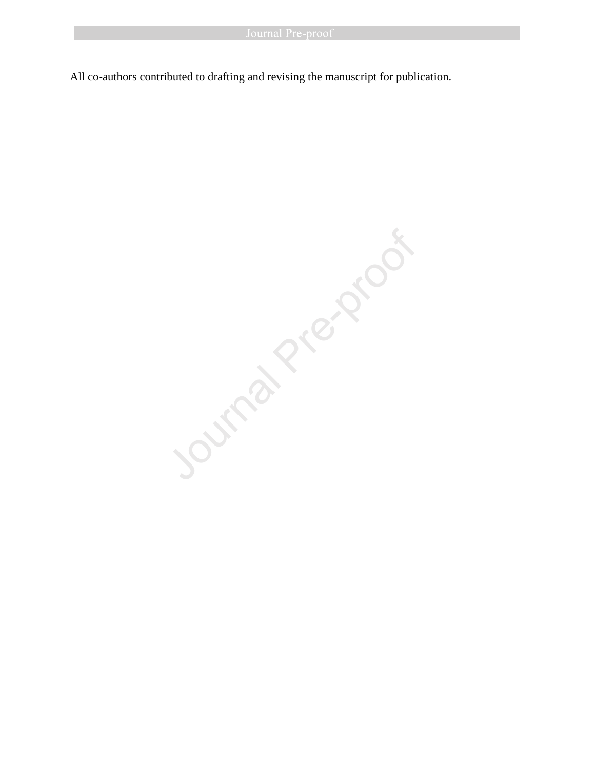All co-authors contributed to drafting and revising the manuscript for publication.

Journal President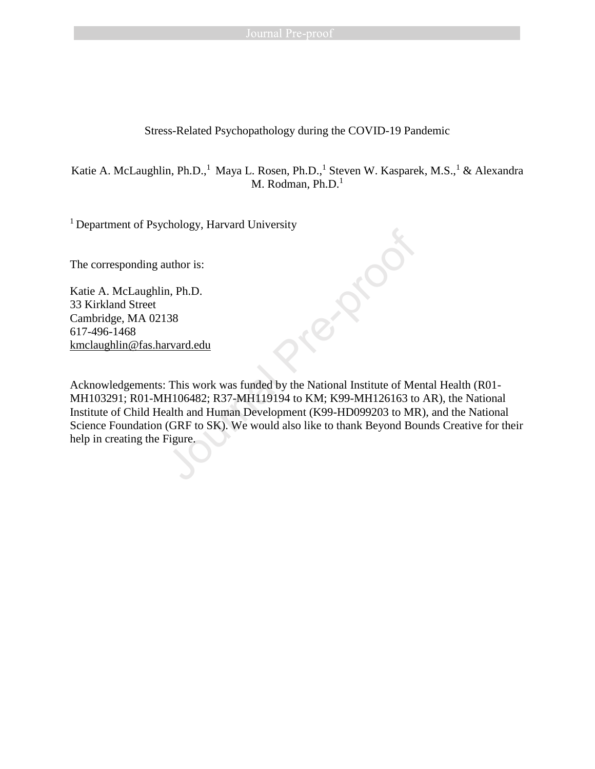# Stress-Related Psychopathology during the COVID-19 Pandemic

Katie A. McLaughlin, Ph.D.,<sup>1</sup> Maya L. Rosen, Ph.D.,<sup>1</sup> Steven W. Kasparek, M.S.,<sup>1</sup> & Alexandra M. Rodman, Ph.D.<sup>1</sup>

<sup>1</sup> Department of Psychology, Harvard University

The corresponding author is:

Katie A. McLaughlin, Ph.D. 33 Kirkland Street Cambridge, MA 02138 617-496-1468 [kmclaughlin@fas.harvard.edu](mailto:kmclaughlin@fas.harvard.edu)

Acknowledgements: This work was funded by the National Institute of Mental Health (R01- MH103291; R01-MH106482; R37-MH119194 to KM; K99-MH126163 to AR), the National Institute of Child Health and Human Development (K99-HD099203 to MR), and the National Science Foundation (GRF to SK). We would also like to thank Beyond Bounds Creative for their The corresponding author is:<br>
The corresponding author is:<br>
Katie A. McLaughlin, Ph.D.<br>
33 Kirkland Street<br>
Cambridge, MA 02138<br>
617-496-1468<br>
kmclaughlin@fas.harvard.edu<br>
Acknowledgements: This work was funded by the Nati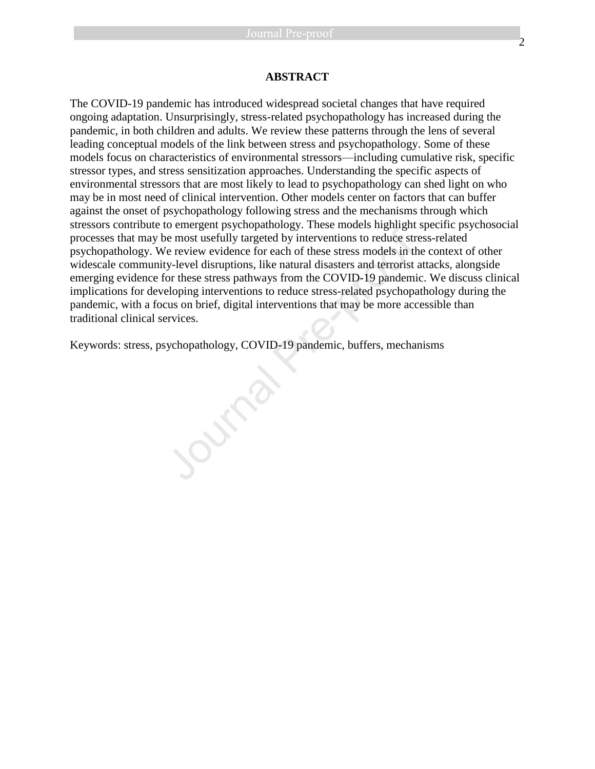# **ABSTRACT**

The COVID-19 pandemic has introduced widespread societal changes that have required ongoing adaptation. Unsurprisingly, stress-related psychopathology has increased during the pandemic, in both children and adults. We review these patterns through the lens of several leading conceptual models of the link between stress and psychopathology. Some of these models focus on characteristics of environmental stressors—including cumulative risk, specific stressor types, and stress sensitization approaches. Understanding the specific aspects of environmental stressors that are most likely to lead to psychopathology can shed light on who may be in most need of clinical intervention. Other models center on factors that can buffer against the onset of psychopathology following stress and the mechanisms through which stressors contribute to emergent psychopathology. These models highlight specific psychosocial processes that may be most usefully targeted by interventions to reduce stress-related psychopathology. We review evidence for each of these stress models in the context of other widescale community-level disruptions, like natural disasters and terrorist attacks, alongside emerging evidence for these stress pathways from the COVID-19 pandemic. We discuss clinical implications for developing interventions to reduce stress-related psychopathology during the pandemic, with a focus on brief, digital interventions that may be more accessible than traditional clinical services.

Keywords: stress, psychopathology, COVID-19 pandemic, buffers, mechanisms Journal Pre-proof of the pre-proof of the proof of the proof of the proof of the proof of the proof of the proof of the proof of the proof of the pr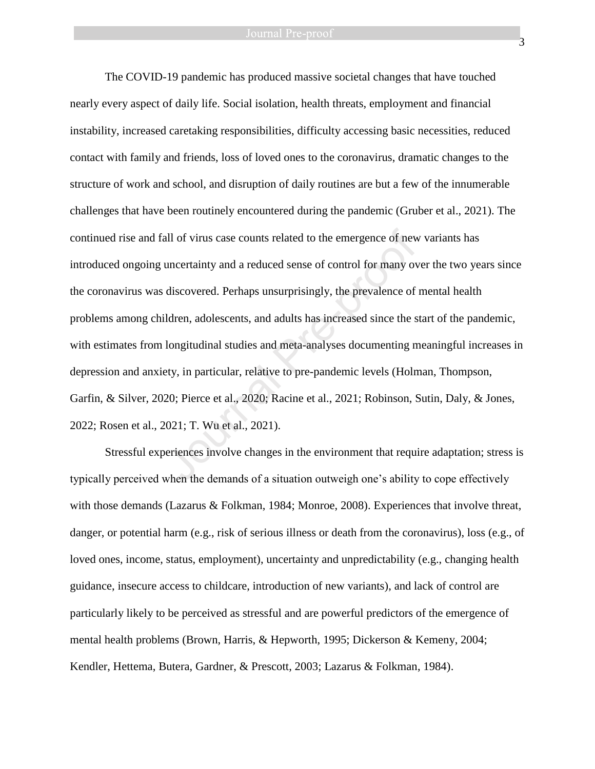The COVID-19 pandemic has produced massive societal changes that have touched nearly every aspect of daily life. Social isolation, health threats, employment and financial instability, increased caretaking responsibilities, difficulty accessing basic necessities, reduced contact with family and friends, loss of loved ones to the coronavirus, dramatic changes to the structure of work and school, and disruption of daily routines are but a few of the innumerable challenges that have been routinely encountered during the pandemic (Gruber et al., 2021). The continued rise and fall of virus case counts related to the emergence of new variants has introduced ongoing uncertainty and a reduced sense of control for many over the two years since the coronavirus was discovered. Perhaps unsurprisingly, the prevalence of mental health problems among children, adolescents, and adults has increased since the start of the pandemic, with estimates from longitudinal studies and meta-analyses documenting meaningful increases in depression and anxiety, in particular, relative to pre-pandemic levels (Holman, Thompson, Garfin, & Silver, 2020; Pierce et al., 2020; Racine et al., 2021; Robinson, Sutin, Daly, & Jones, 2022; Rosen et al., 2021; T. Wu et al., 2021). all of virus case counts related to the emergence of new<br>uncertainty and a reduced sense of control for many ov<br>discovered. Perhaps unsurprisingly, the prevalence of<br>Idren, adolescents, and adults has increased since the s

Stressful experiences involve changes in the environment that require adaptation; stress is typically perceived when the demands of a situation outweigh one's ability to cope effectively with those demands (Lazarus & Folkman, 1984; Monroe, 2008). Experiences that involve threat, danger, or potential harm (e.g., risk of serious illness or death from the coronavirus), loss (e.g., of loved ones, income, status, employment), uncertainty and unpredictability (e.g., changing health guidance, insecure access to childcare, introduction of new variants), and lack of control are particularly likely to be perceived as stressful and are powerful predictors of the emergence of mental health problems (Brown, Harris, & Hepworth, 1995; Dickerson & Kemeny, 2004; Kendler, Hettema, Butera, Gardner, & Prescott, 2003; Lazarus & Folkman, 1984).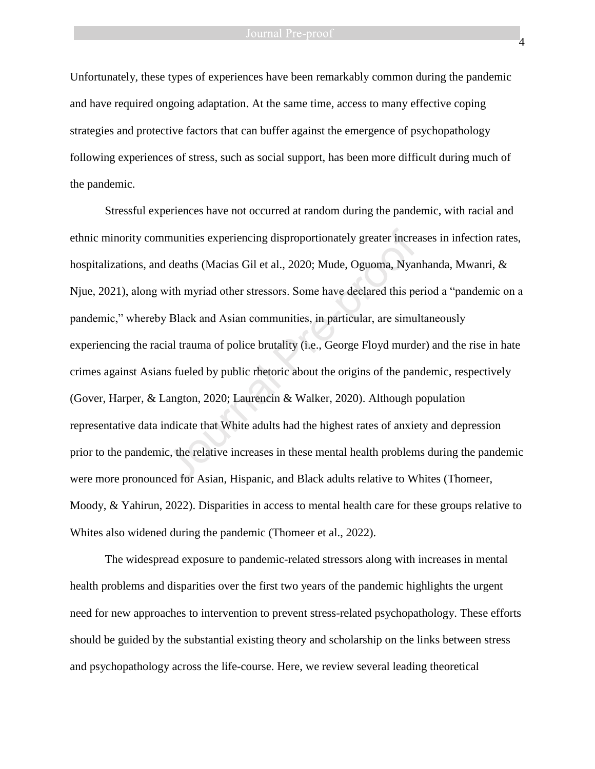Unfortunately, these types of experiences have been remarkably common during the pandemic and have required ongoing adaptation. At the same time, access to many effective coping strategies and protective factors that can buffer against the emergence of psychopathology following experiences of stress, such as social support, has been more difficult during much of the pandemic.

Stressful experiences have not occurred at random during the pandemic, with racial and ethnic minority communities experiencing disproportionately greater increases in infection rates, hospitalizations, and deaths (Macias Gil et al., 2020; Mude, Oguoma, Nyanhanda, Mwanri, & Njue, 2021), along with myriad other stressors. Some have declared this period a "pandemic on a pandemic," whereby Black and Asian communities, in particular, are simultaneously experiencing the racial trauma of police brutality (i.e., George Floyd murder) and the rise in hate crimes against Asians fueled by public rhetoric about the origins of the pandemic, respectively (Gover, Harper, & Langton, 2020; Laurencin & Walker, 2020). Although population representative data indicate that White adults had the highest rates of anxiety and depression prior to the pandemic, the relative increases in these mental health problems during the pandemic were more pronounced for Asian, Hispanic, and Black adults relative to Whites (Thomeer, Moody, & Yahirun, 2022). Disparities in access to mental health care for these groups relative to Whites also widened during the pandemic (Thomeer et al., 2022). munities experiencing disproportionately greater increaded in a deaths (Macias Gil et al., 2020; Mude, Oguoma, Nyan with myriad other stressors. Some have declared this per Black and Asian communities, in particular, are s

The widespread exposure to pandemic-related stressors along with increases in mental health problems and disparities over the first two years of the pandemic highlights the urgent need for new approaches to intervention to prevent stress-related psychopathology. These efforts should be guided by the substantial existing theory and scholarship on the links between stress and psychopathology across the life-course. Here, we review several leading theoretical

4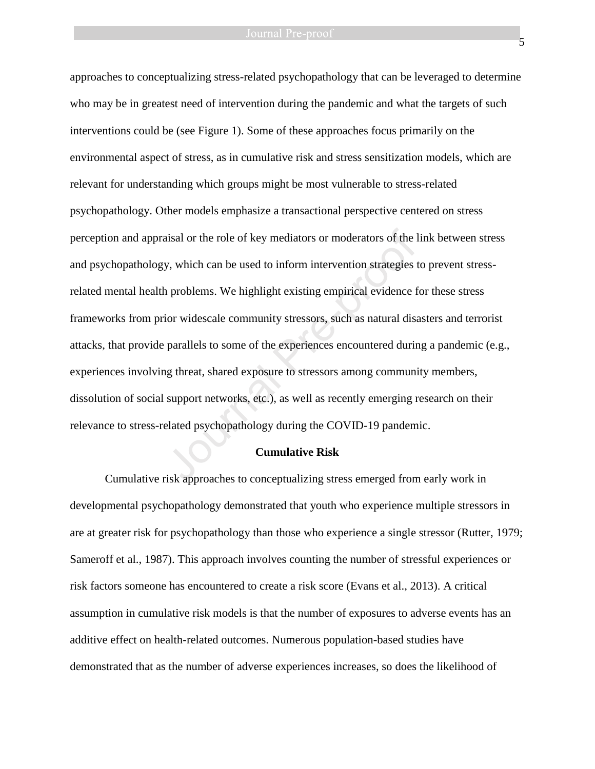approaches to conceptualizing stress-related psychopathology that can be leveraged to determine who may be in greatest need of intervention during the pandemic and what the targets of such interventions could be (see Figure 1). Some of these approaches focus primarily on the environmental aspect of stress, as in cumulative risk and stress sensitization models, which are relevant for understanding which groups might be most vulnerable to stress-related psychopathology. Other models emphasize a transactional perspective centered on stress perception and appraisal or the role of key mediators or moderators of the link between stress and psychopathology, which can be used to inform intervention strategies to prevent stressrelated mental health problems. We highlight existing empirical evidence for these stress frameworks from prior widescale community stressors, such as natural disasters and terrorist attacks, that provide parallels to some of the experiences encountered during a pandemic (e.g., experiences involving threat, shared exposure to stressors among community members, dissolution of social support networks, etc.), as well as recently emerging research on their relevance to stress-related psychopathology during the COVID-19 pandemic. aisal or the role of key mediators or moderators of the 1<br>y, which can be used to inform intervention strategies to<br>problems. We highlight existing empirical evidence f<br>ior widescale community stressors, such as natural di

#### **Cumulative Risk**

Cumulative risk approaches to conceptualizing stress emerged from early work in developmental psychopathology demonstrated that youth who experience multiple stressors in are at greater risk for psychopathology than those who experience a single stressor (Rutter, 1979; Sameroff et al., 1987). This approach involves counting the number of stressful experiences or risk factors someone has encountered to create a risk score (Evans et al., 2013). A critical assumption in cumulative risk models is that the number of exposures to adverse events has an additive effect on health-related outcomes. Numerous population-based studies have demonstrated that as the number of adverse experiences increases, so does the likelihood of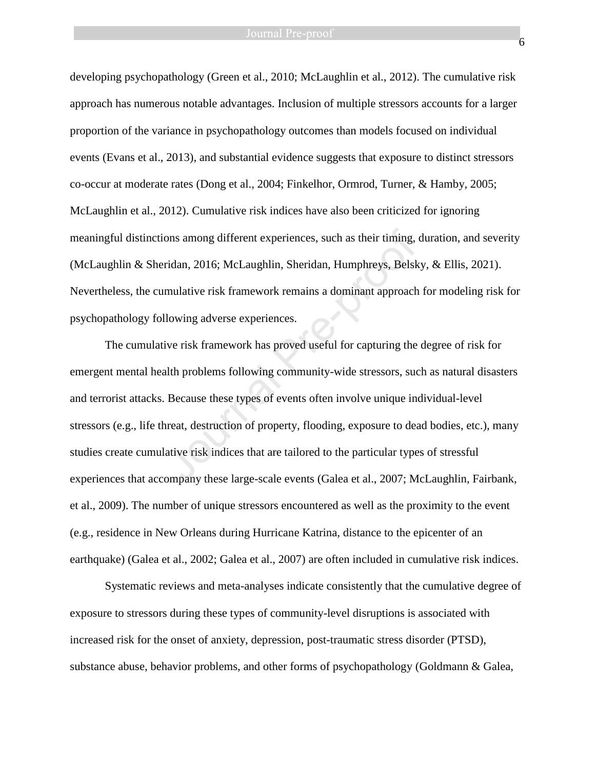developing psychopathology (Green et al., 2010; McLaughlin et al., 2012). The cumulative risk approach has numerous notable advantages. Inclusion of multiple stressors accounts for a larger proportion of the variance in psychopathology outcomes than models focused on individual events (Evans et al., 2013), and substantial evidence suggests that exposure to distinct stressors co-occur at moderate rates (Dong et al., 2004; Finkelhor, Ormrod, Turner, & Hamby, 2005; McLaughlin et al., 2012). Cumulative risk indices have also been criticized for ignoring meaningful distinctions among different experiences, such as their timing, duration, and severity (McLaughlin & Sheridan, 2016; McLaughlin, Sheridan, Humphreys, Belsky, & Ellis, 2021). Nevertheless, the cumulative risk framework remains a dominant approach for modeling risk for psychopathology following adverse experiences.

The cumulative risk framework has proved useful for capturing the degree of risk for emergent mental health problems following community-wide stressors, such as natural disasters and terrorist attacks. Because these types of events often involve unique individual-level stressors (e.g., life threat, destruction of property, flooding, exposure to dead bodies, etc.), many studies create cumulative risk indices that are tailored to the particular types of stressful experiences that accompany these large-scale events (Galea et al., 2007; McLaughlin, Fairbank, et al., 2009). The number of unique stressors encountered as well as the proximity to the event (e.g., residence in New Orleans during Hurricane Katrina, distance to the epicenter of an earthquake) (Galea et al., 2002; Galea et al., 2007) are often included in cumulative risk indices. ons among different experiences, such as their timing,<br>
ridan, 2016; McLaughlin, Sheridan, Humphreys, Belsk<br>
mulative risk framework remains a dominant approach<br>
llowing adverse experiences.<br>
ive risk framework has proved

Systematic reviews and meta-analyses indicate consistently that the cumulative degree of exposure to stressors during these types of community-level disruptions is associated with increased risk for the onset of anxiety, depression, post-traumatic stress disorder (PTSD), substance abuse, behavior problems, and other forms of psychopathology (Goldmann & Galea,

6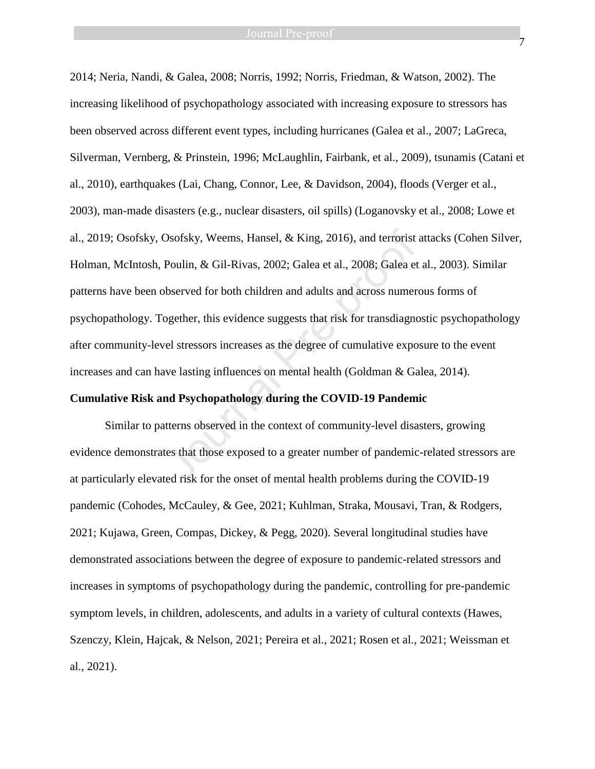7

2014; Neria, Nandi, & Galea, 2008; Norris, 1992; Norris, Friedman, & Watson, 2002). The increasing likelihood of psychopathology associated with increasing exposure to stressors has been observed across different event types, including hurricanes (Galea et al., 2007; LaGreca, Silverman, Vernberg, & Prinstein, 1996; McLaughlin, Fairbank, et al., 2009), tsunamis (Catani et al., 2010), earthquakes (Lai, Chang, Connor, Lee, & Davidson, 2004), floods (Verger et al., 2003), man-made disasters (e.g., nuclear disasters, oil spills) (Loganovsky et al., 2008; Lowe et al., 2019; Osofsky, Osofsky, Weems, Hansel, & King, 2016), and terrorist attacks (Cohen Silver, Holman, McIntosh, Poulin, & Gil-Rivas, 2002; Galea et al., 2008; Galea et al., 2003). Similar patterns have been observed for both children and adults and across numerous forms of psychopathology. Together, this evidence suggests that risk for transdiagnostic psychopathology after community-level stressors increases as the degree of cumulative exposure to the event increases and can have lasting influences on mental health (Goldman & Galea, 2014). Dsofsky, Weems, Hansel, & King, 2016), and terrorist<br>Poulin, & Gil-Rivas, 2002; Galea et al., 2008; Galea et<br>bbserved for both children and adults and across numer<br>ogether, this evidence suggests that risk for transdiagno

# **Cumulative Risk and Psychopathology during the COVID-19 Pandemic**

Similar to patterns observed in the context of community-level disasters, growing evidence demonstrates that those exposed to a greater number of pandemic-related stressors are at particularly elevated risk for the onset of mental health problems during the COVID-19 pandemic (Cohodes, McCauley, & Gee, 2021; Kuhlman, Straka, Mousavi, Tran, & Rodgers, 2021; Kujawa, Green, Compas, Dickey, & Pegg, 2020). Several longitudinal studies have demonstrated associations between the degree of exposure to pandemic-related stressors and increases in symptoms of psychopathology during the pandemic, controlling for pre-pandemic symptom levels, in children, adolescents, and adults in a variety of cultural contexts (Hawes, Szenczy, Klein, Hajcak, & Nelson, 2021; Pereira et al., 2021; Rosen et al., 2021; Weissman et al., 2021).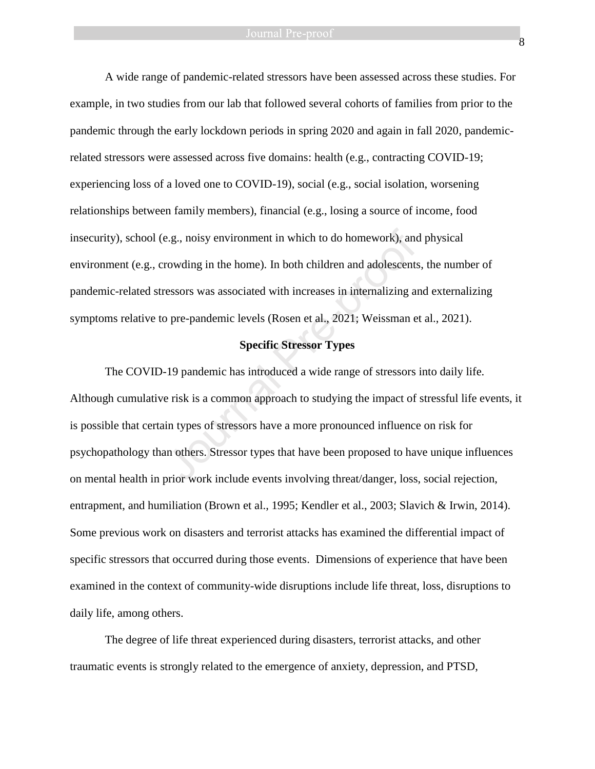A wide range of pandemic-related stressors have been assessed across these studies. For example, in two studies from our lab that followed several cohorts of families from prior to the pandemic through the early lockdown periods in spring 2020 and again in fall 2020, pandemicrelated stressors were assessed across five domains: health (e.g., contracting COVID-19; experiencing loss of a loved one to COVID-19), social (e.g., social isolation, worsening relationships between family members), financial (e.g., losing a source of income, food insecurity), school (e.g., noisy environment in which to do homework), and physical environment (e.g., crowding in the home). In both children and adolescents, the number of pandemic-related stressors was associated with increases in internalizing and externalizing symptoms relative to pre-pandemic levels (Rosen et al., 2021; Weissman et al., 2021).

# **Specific Stressor Types**

The COVID-19 pandemic has introduced a wide range of stressors into daily life. Although cumulative risk is a common approach to studying the impact of stressful life events, it is possible that certain types of stressors have a more pronounced influence on risk for psychopathology than others. Stressor types that have been proposed to have unique influences on mental health in prior work include events involving threat/danger, loss, social rejection, entrapment, and humiliation (Brown et al., 1995; Kendler et al., 2003; Slavich & Irwin, 2014). Some previous work on disasters and terrorist attacks has examined the differential impact of specific stressors that occurred during those events. Dimensions of experience that have been examined in the context of community-wide disruptions include life threat, loss, disruptions to daily life, among others. e.g., noisy environment in which to do homework), and<br>rowding in the home). In both children and adolescents<br>ressors was associated with increases in internalizing an<br>o pre-pandemic levels (Rosen et al., 2021; Weissman e<br>

The degree of life threat experienced during disasters, terrorist attacks, and other traumatic events is strongly related to the emergence of anxiety, depression, and PTSD,

8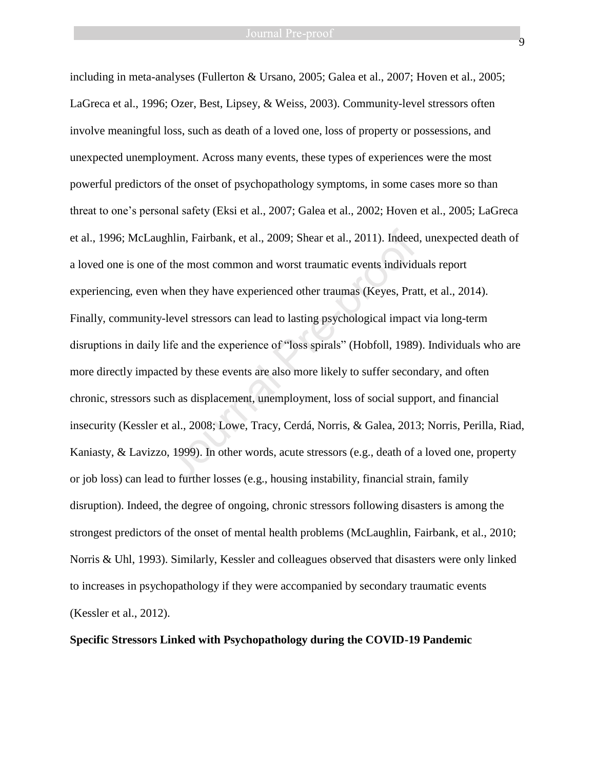including in meta-analyses (Fullerton & Ursano, 2005; Galea et al., 2007; Hoven et al., 2005; LaGreca et al., 1996; Ozer, Best, Lipsey, & Weiss, 2003). Community-level stressors often involve meaningful loss, such as death of a loved one, loss of property or possessions, and unexpected unemployment. Across many events, these types of experiences were the most powerful predictors of the onset of psychopathology symptoms, in some cases more so than threat to one's personal safety (Eksi et al., 2007; Galea et al., 2002; Hoven et al., 2005; LaGreca et al., 1996; McLaughlin, Fairbank, et al., 2009; Shear et al., 2011). Indeed, unexpected death of a loved one is one of the most common and worst traumatic events individuals report experiencing, even when they have experienced other traumas (Keyes, Pratt, et al., 2014). Finally, community-level stressors can lead to lasting psychological impact via long-term disruptions in daily life and the experience of "loss spirals" (Hobfoll, 1989). Individuals who are more directly impacted by these events are also more likely to suffer secondary, and often chronic, stressors such as displacement, unemployment, loss of social support, and financial insecurity (Kessler et al., 2008; Lowe, Tracy, Cerdá, Norris, & Galea, 2013; Norris, Perilla, Riad, Kaniasty, & Lavizzo, 1999). In other words, acute stressors (e.g., death of a loved one, property or job loss) can lead to further losses (e.g., housing instability, financial strain, family disruption). Indeed, the degree of ongoing, chronic stressors following disasters is among the strongest predictors of the onset of mental health problems (McLaughlin, Fairbank, et al., 2010; Norris & Uhl, 1993). Similarly, Kessler and colleagues observed that disasters were only linked to increases in psychopathology if they were accompanied by secondary traumatic events (Kessler et al., 2012). ghlin, Fairbank, et al., 2009; Shear et al., 2011). Indeed<br>
f the most common and worst traumatic events individe<br>
when they have experienced other traumas (Keyes, Prat-<br>
level stressors can lead to lasting psychological i

# **Specific Stressors Linked with Psychopathology during the COVID-19 Pandemic**

 $\overline{Q}$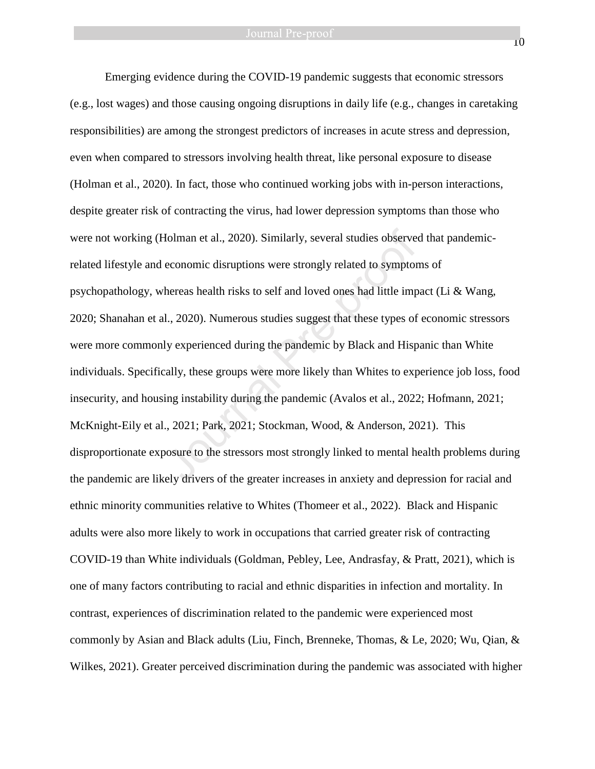Emerging evidence during the COVID-19 pandemic suggests that economic stressors (e.g., lost wages) and those causing ongoing disruptions in daily life (e.g., changes in caretaking responsibilities) are among the strongest predictors of increases in acute stress and depression, even when compared to stressors involving health threat, like personal exposure to disease (Holman et al., 2020). In fact, those who continued working jobs with in-person interactions, despite greater risk of contracting the virus, had lower depression symptoms than those who were not working (Holman et al., 2020). Similarly, several studies observed that pandemicrelated lifestyle and economic disruptions were strongly related to symptoms of psychopathology, whereas health risks to self and loved ones had little impact (Li & Wang, 2020; Shanahan et al., 2020). Numerous studies suggest that these types of economic stressors were more commonly experienced during the pandemic by Black and Hispanic than White individuals. Specifically, these groups were more likely than Whites to experience job loss, food insecurity, and housing instability during the pandemic (Avalos et al., 2022; Hofmann, 2021; McKnight-Eily et al., 2021; Park, 2021; Stockman, Wood, & Anderson, 2021). This disproportionate exposure to the stressors most strongly linked to mental health problems during the pandemic are likely drivers of the greater increases in anxiety and depression for racial and ethnic minority communities relative to Whites (Thomeer et al., 2022). Black and Hispanic adults were also more likely to work in occupations that carried greater risk of contracting COVID-19 than White individuals (Goldman, Pebley, Lee, Andrasfay, & Pratt, 2021), which is one of many factors contributing to racial and ethnic disparities in infection and mortality. In contrast, experiences of discrimination related to the pandemic were experienced most commonly by Asian and Black adults (Liu, Finch, Brenneke, Thomas, & Le, 2020; Wu, Qian, & Wilkes, 2021). Greater perceived discrimination during the pandemic was associated with higher Iolman et al., 2020). Similarly, several studies observed economic disruptions were strongly related to symptor<br>hereas health risks to self and loved ones had little imp<br>1., 2020). Numerous studies suggest that these types

10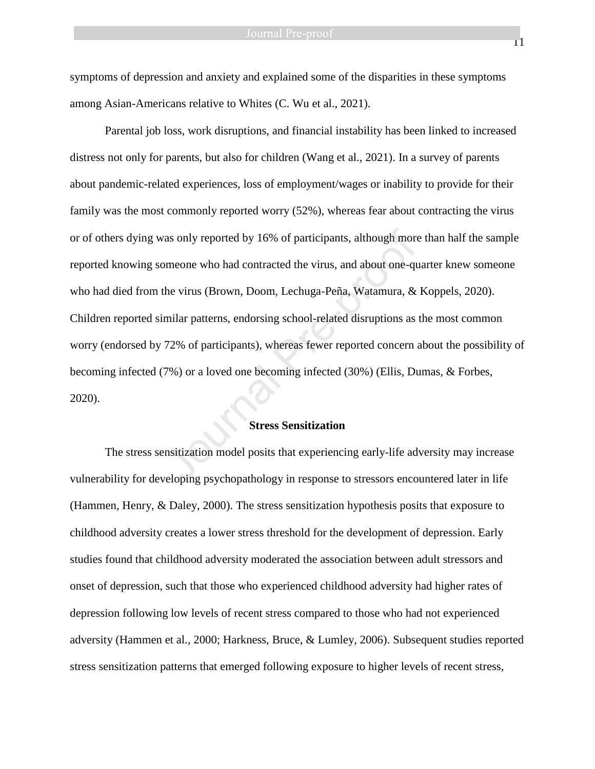symptoms of depression and anxiety and explained some of the disparities in these symptoms among Asian-Americans relative to Whites (C. Wu et al., 2021).

Parental job loss, work disruptions, and financial instability has been linked to increased distress not only for parents, but also for children (Wang et al., 2021). In a survey of parents about pandemic-related experiences, loss of employment/wages or inability to provide for their family was the most commonly reported worry (52%), whereas fear about contracting the virus or of others dying was only reported by 16% of participants, although more than half the sample reported knowing someone who had contracted the virus, and about one-quarter knew someone who had died from the virus (Brown, Doom, Lechuga-Peña, Watamura, & Koppels, 2020). Children reported similar patterns, endorsing school-related disruptions as the most common worry (endorsed by 72% of participants), whereas fewer reported concern about the possibility of becoming infected (7%) or a loved one becoming infected (30%) (Ellis, Dumas, & Forbes, 2020). as only reported by 16% of participants, although more<br>omeone who had contracted the virus, and about one-qu<br>he virus (Brown, Doom, Lechuga-Peña, Watamura, &<br>milar patterns, endorsing school-related disruptions as<br>72% of p

# **Stress Sensitization**

The stress sensitization model posits that experiencing early-life adversity may increase vulnerability for developing psychopathology in response to stressors encountered later in life (Hammen, Henry, & Daley, 2000). The stress sensitization hypothesis posits that exposure to childhood adversity creates a lower stress threshold for the development of depression. Early studies found that childhood adversity moderated the association between adult stressors and onset of depression, such that those who experienced childhood adversity had higher rates of depression following low levels of recent stress compared to those who had not experienced adversity (Hammen et al., 2000; Harkness, Bruce, & Lumley, 2006). Subsequent studies reported stress sensitization patterns that emerged following exposure to higher levels of recent stress,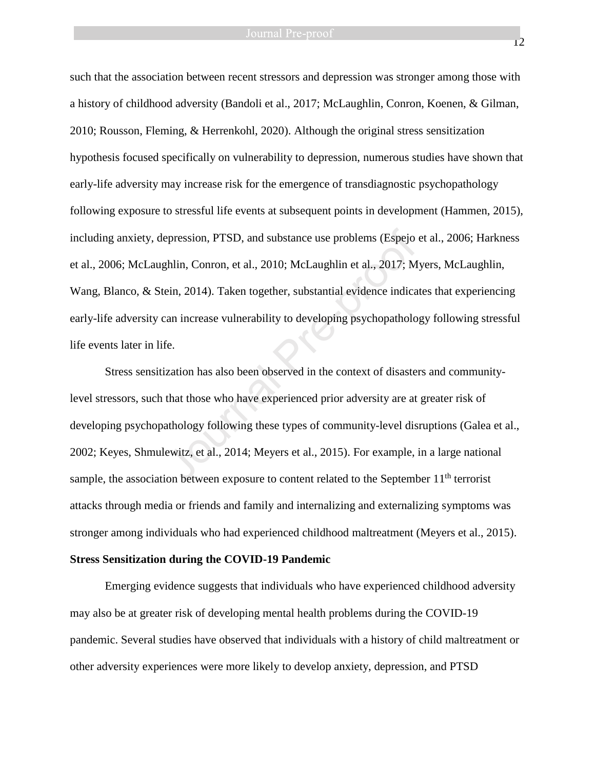such that the association between recent stressors and depression was stronger among those with a history of childhood adversity (Bandoli et al., 2017; McLaughlin, Conron, Koenen, & Gilman, 2010; Rousson, Fleming, & Herrenkohl, 2020). Although the original stress sensitization hypothesis focused specifically on vulnerability to depression, numerous studies have shown that early-life adversity may increase risk for the emergence of transdiagnostic psychopathology following exposure to stressful life events at subsequent points in development (Hammen, 2015), including anxiety, depression, PTSD, and substance use problems (Espejo et al., 2006; Harkness et al., 2006; McLaughlin, Conron, et al., 2010; McLaughlin et al., 2017; Myers, McLaughlin, Wang, Blanco, & Stein, 2014). Taken together, substantial evidence indicates that experiencing early-life adversity can increase vulnerability to developing psychopathology following stressful life events later in life. epression, PTSD, and substance use problems (Espejo<br>
phlin, Conron, et al., 2010; McLaughlin et al., 2017; M<br>
ein, 2014). Taken together, substantial evidence indica<br>
can increase vulnerability to developing psychopatholo<br>

Stress sensitization has also been observed in the context of disasters and communitylevel stressors, such that those who have experienced prior adversity are at greater risk of developing psychopathology following these types of community-level disruptions (Galea et al., 2002; Keyes, Shmulewitz, et al., 2014; Meyers et al., 2015). For example, in a large national sample, the association between exposure to content related to the September  $11<sup>th</sup>$  terrorist attacks through media or friends and family and internalizing and externalizing symptoms was stronger among individuals who had experienced childhood maltreatment (Meyers et al., 2015).

#### **Stress Sensitization during the COVID-19 Pandemic**

Emerging evidence suggests that individuals who have experienced childhood adversity may also be at greater risk of developing mental health problems during the COVID-19 pandemic. Several studies have observed that individuals with a history of child maltreatment or other adversity experiences were more likely to develop anxiety, depression, and PTSD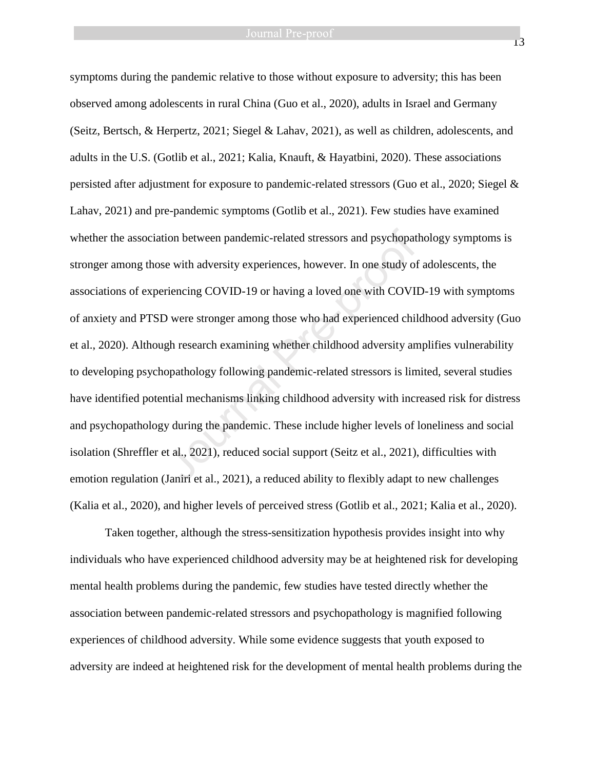symptoms during the pandemic relative to those without exposure to adversity; this has been observed among adolescents in rural China (Guo et al., 2020), adults in Israel and Germany (Seitz, Bertsch, & Herpertz, 2021; Siegel & Lahav, 2021), as well as children, adolescents, and adults in the U.S. (Gotlib et al., 2021; Kalia, Knauft, & Hayatbini, 2020). These associations persisted after adjustment for exposure to pandemic-related stressors (Guo et al., 2020; Siegel & Lahav, 2021) and pre-pandemic symptoms (Gotlib et al., 2021). Few studies have examined whether the association between pandemic-related stressors and psychopathology symptoms is stronger among those with adversity experiences, however. In one study of adolescents, the associations of experiencing COVID-19 or having a loved one with COVID-19 with symptoms of anxiety and PTSD were stronger among those who had experienced childhood adversity (Guo et al., 2020). Although research examining whether childhood adversity amplifies vulnerability to developing psychopathology following pandemic-related stressors is limited, several studies have identified potential mechanisms linking childhood adversity with increased risk for distress and psychopathology during the pandemic. These include higher levels of loneliness and social isolation (Shreffler et al., 2021), reduced social support (Seitz et al., 2021), difficulties with emotion regulation (Janiri et al., 2021), a reduced ability to flexibly adapt to new challenges (Kalia et al., 2020), and higher levels of perceived stress (Gotlib et al., 2021; Kalia et al., 2020). ion between pandemic-related stressors and psychopat<br>
e with adversity experiences, however. In one study of<br>
riencing COVID-19 or having a loved one with COVI<br>
D were stronger among those who had experienced chil<br>
gh rese

Taken together, although the stress-sensitization hypothesis provides insight into why individuals who have experienced childhood adversity may be at heightened risk for developing mental health problems during the pandemic, few studies have tested directly whether the association between pandemic-related stressors and psychopathology is magnified following experiences of childhood adversity. While some evidence suggests that youth exposed to adversity are indeed at heightened risk for the development of mental health problems during the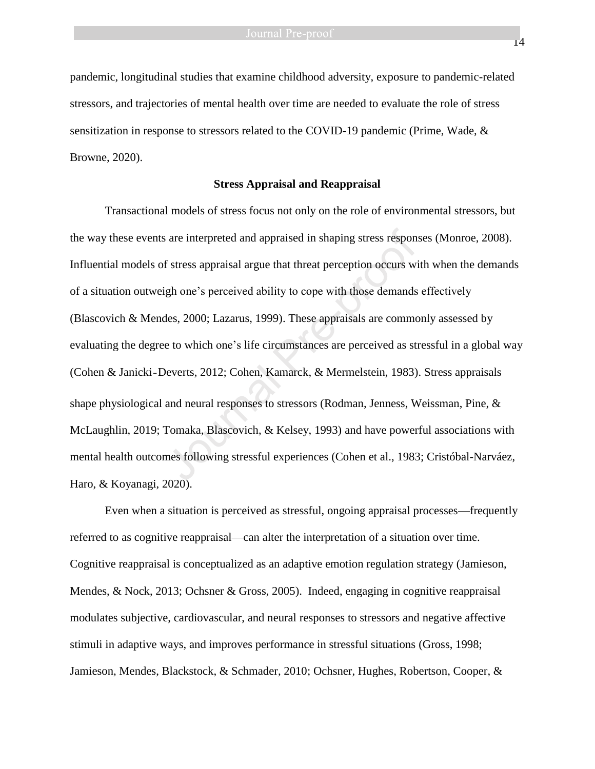pandemic, longitudinal studies that examine childhood adversity, exposure to pandemic-related stressors, and trajectories of mental health over time are needed to evaluate the role of stress sensitization in response to stressors related to the COVID-19 pandemic (Prime, Wade, & Browne, 2020).

#### **Stress Appraisal and Reappraisal**

Transactional models of stress focus not only on the role of environmental stressors, but the way these events are interpreted and appraised in shaping stress responses (Monroe, 2008). Influential models of stress appraisal argue that threat perception occurs with when the demands of a situation outweigh one's perceived ability to cope with those demands effectively (Blascovich & Mendes, 2000; Lazarus, 1999). These appraisals are commonly assessed by evaluating the degree to which one's life circumstances are perceived as stressful in a global way (Cohen & Janicki‐Deverts, 2012; Cohen, Kamarck, & Mermelstein, 1983). Stress appraisals shape physiological and neural responses to stressors (Rodman, Jenness, Weissman, Pine, & McLaughlin, 2019; Tomaka, Blascovich, & Kelsey, 1993) and have powerful associations with mental health outcomes following stressful experiences (Cohen et al., 1983; Cristóbal-Narváez, Haro, & Koyanagi, 2020). s are interpreted and appraised in shaping stress respond f stress appraisal argue that threat perception occurs will such one's perceived ability to cope with those demands des, 2000; Lazarus, 1999). These appraisals are

Even when a situation is perceived as stressful, ongoing appraisal processes—frequently referred to as cognitive reappraisal—can alter the interpretation of a situation over time. Cognitive reappraisal is conceptualized as an adaptive emotion regulation strategy (Jamieson, Mendes, & Nock, 2013; Ochsner & Gross, 2005). Indeed, engaging in cognitive reappraisal modulates subjective, cardiovascular, and neural responses to stressors and negative affective stimuli in adaptive ways, and improves performance in stressful situations (Gross, 1998; Jamieson, Mendes, Blackstock, & Schmader, 2010; Ochsner, Hughes, Robertson, Cooper, &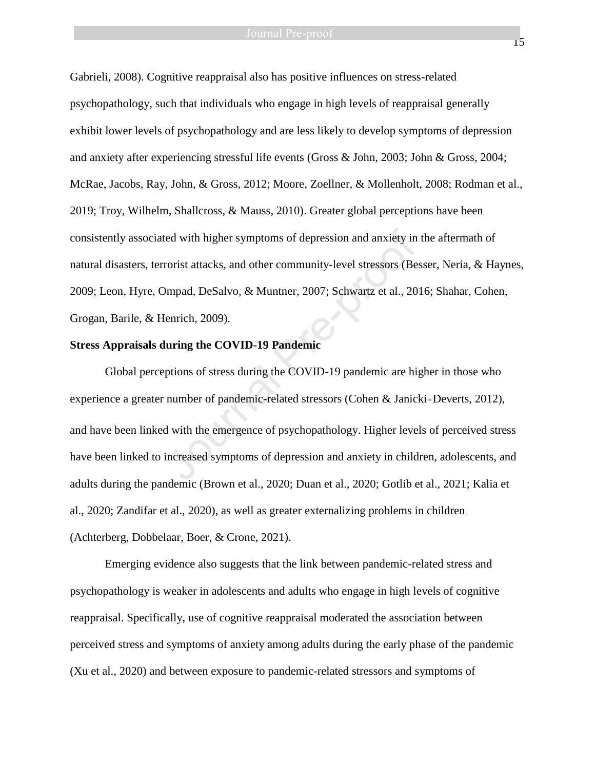Gabrieli, 2008). Cognitive reappraisal also has positive influences on stress-related psychopathology, such that individuals who engage in high levels of reappraisal generally exhibit lower levels of psychopathology and are less likely to develop symptoms of depression and anxiety after experiencing stressful life events (Gross & John, 2003; John & Gross, 2004; McRae, Jacobs, Ray, John, & Gross, 2012; Moore, Zoellner, & Mollenholt, 2008; Rodman et al., 2019; Troy, Wilhelm, Shallcross, & Mauss, 2010). Greater global perceptions have been consistently associated with higher symptoms of depression and anxiety in the aftermath of natural disasters, terrorist attacks, and other community-level stressors (Besser, Neria, & Haynes, 2009; Leon, Hyre, Ompad, DeSalvo, & Muntner, 2007; Schwartz et al., 2016; Shahar, Cohen, Grogan, Barile, & Henrich, 2009).

# **Stress Appraisals during the COVID-19 Pandemic**

Global perceptions of stress during the COVID-19 pandemic are higher in those who experience a greater number of pandemic-related stressors (Cohen & Janicki‐Deverts, 2012), and have been linked with the emergence of psychopathology. Higher levels of perceived stress have been linked to increased symptoms of depression and anxiety in children, adolescents, and adults during the pandemic (Brown et al., 2020; Duan et al., 2020; Gotlib et al., 2021; Kalia et al., 2020; Zandifar et al., 2020), as well as greater externalizing problems in children (Achterberg, Dobbelaar, Boer, & Crone, 2021). red with higher symptoms of depression and anxiety in<br>rorist attacks, and other community-level stressors (Be<br>Dmpad, DeSalvo, & Muntner, 2007; Schwartz et al., 20<br>fenrich, 2009).<br>**luring the COVID-19 Pandemic**<br>ptions of st

Emerging evidence also suggests that the link between pandemic-related stress and psychopathology is weaker in adolescents and adults who engage in high levels of cognitive reappraisal. Specifically, use of cognitive reappraisal moderated the association between perceived stress and symptoms of anxiety among adults during the early phase of the pandemic (Xu et al., 2020) and between exposure to pandemic-related stressors and symptoms of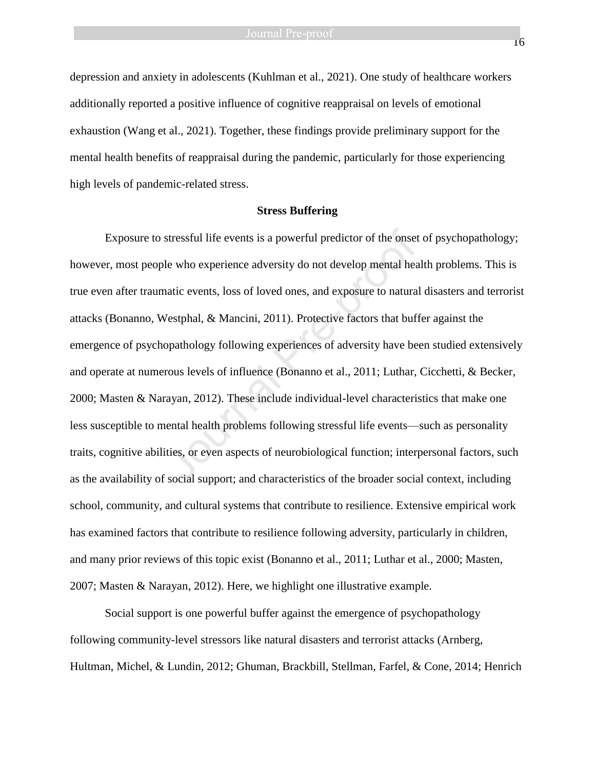depression and anxiety in adolescents (Kuhlman et al., 2021). One study of healthcare workers additionally reported a positive influence of cognitive reappraisal on levels of emotional exhaustion (Wang et al., 2021). Together, these findings provide preliminary support for the mental health benefits of reappraisal during the pandemic, particularly for those experiencing high levels of pandemic-related stress.

### **Stress Buffering**

Exposure to stressful life events is a powerful predictor of the onset of psychopathology; however, most people who experience adversity do not develop mental health problems. This is true even after traumatic events, loss of loved ones, and exposure to natural disasters and terrorist attacks (Bonanno, Westphal, & Mancini, 2011). Protective factors that buffer against the emergence of psychopathology following experiences of adversity have been studied extensively and operate at numerous levels of influence (Bonanno et al., 2011; Luthar, Cicchetti, & Becker, 2000; Masten & Narayan, 2012). These include individual-level characteristics that make one less susceptible to mental health problems following stressful life events—such as personality traits, cognitive abilities, or even aspects of neurobiological function; interpersonal factors, such as the availability of social support; and characteristics of the broader social context, including school, community, and cultural systems that contribute to resilience. Extensive empirical work has examined factors that contribute to resilience following adversity, particularly in children, and many prior reviews of this topic exist (Bonanno et al., 2011; Luthar et al., 2000; Masten, 2007; Masten & Narayan, 2012). Here, we highlight one illustrative example. stressful life events is a powerful predictor of the onset<br>le who experience adversity do not develop mental hea<br>natic events, loss of loved ones, and exposure to natura<br>Vestphal, & Mancini, 2011). Protective factors that

Social support is one powerful buffer against the emergence of psychopathology following community-level stressors like natural disasters and terrorist attacks (Arnberg, Hultman, Michel, & Lundin, 2012; Ghuman, Brackbill, Stellman, Farfel, & Cone, 2014; Henrich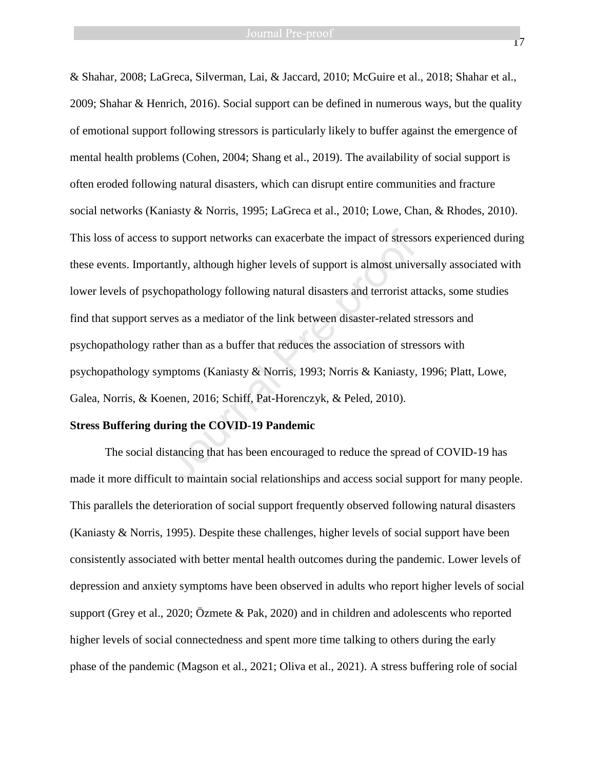& Shahar, 2008; LaGreca, Silverman, Lai, & Jaccard, 2010; McGuire et al., 2018; Shahar et al., 2009; Shahar & Henrich, 2016). Social support can be defined in numerous ways, but the quality of emotional support following stressors is particularly likely to buffer against the emergence of mental health problems (Cohen, 2004; Shang et al., 2019). The availability of social support is often eroded following natural disasters, which can disrupt entire communities and fracture social networks (Kaniasty & Norris, 1995; LaGreca et al., 2010; Lowe, Chan, & Rhodes, 2010). This loss of access to support networks can exacerbate the impact of stressors experienced during these events. Importantly, although higher levels of support is almost universally associated with lower levels of psychopathology following natural disasters and terrorist attacks, some studies find that support serves as a mediator of the link between disaster-related stressors and psychopathology rather than as a buffer that reduces the association of stressors with psychopathology symptoms (Kaniasty & Norris, 1993; Norris & Kaniasty, 1996; Platt, Lowe, Galea, Norris, & Koenen, 2016; Schiff, Pat-Horenczyk, & Peled, 2010). o support networks can exacerbate the impact of stresse<br>antly, although higher levels of support is almost unive<br>hopathology following natural disasters and terrorist at<br>ves as a mediator of the link between disaster-relat

#### **Stress Buffering during the COVID-19 Pandemic**

The social distancing that has been encouraged to reduce the spread of COVID-19 has made it more difficult to maintain social relationships and access social support for many people. This parallels the deterioration of social support frequently observed following natural disasters (Kaniasty & Norris, 1995). Despite these challenges, higher levels of social support have been consistently associated with better mental health outcomes during the pandemic. Lower levels of depression and anxiety symptoms have been observed in adults who report higher levels of social support (Grey et al., 2020; Özmete & Pak, 2020) and in children and adolescents who reported higher levels of social connectedness and spent more time talking to others during the early phase of the pandemic (Magson et al., 2021; Oliva et al., 2021). A stress buffering role of social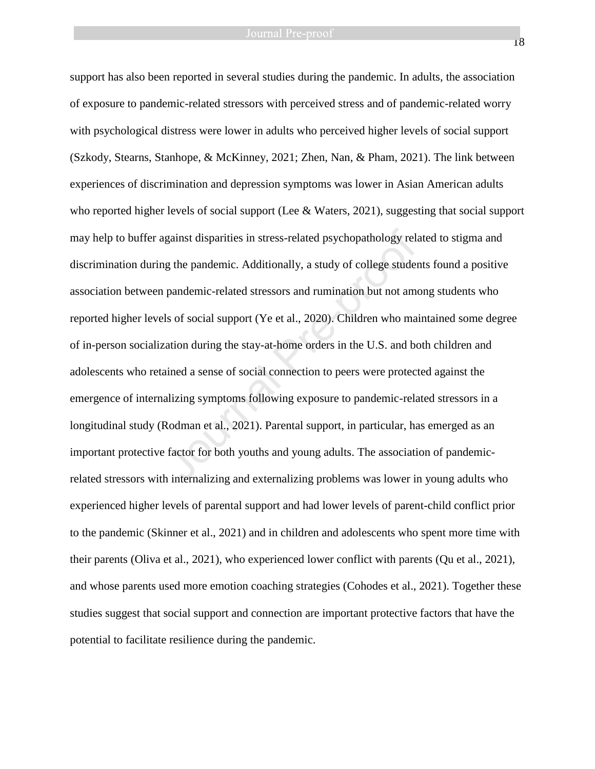support has also been reported in several studies during the pandemic. In adults, the association of exposure to pandemic-related stressors with perceived stress and of pandemic-related worry with psychological distress were lower in adults who perceived higher levels of social support (Szkody, Stearns, Stanhope, & McKinney, 2021; Zhen, Nan, & Pham, 2021). The link between experiences of discrimination and depression symptoms was lower in Asian American adults who reported higher levels of social support (Lee & Waters, 2021), suggesting that social support may help to buffer against disparities in stress-related psychopathology related to stigma and discrimination during the pandemic. Additionally, a study of college students found a positive association between pandemic-related stressors and rumination but not among students who reported higher levels of social support (Ye et al., 2020). Children who maintained some degree of in-person socialization during the stay-at-home orders in the U.S. and both children and adolescents who retained a sense of social connection to peers were protected against the emergence of internalizing symptoms following exposure to pandemic-related stressors in a longitudinal study (Rodman et al., 2021). Parental support, in particular, has emerged as an important protective factor for both youths and young adults. The association of pandemicrelated stressors with internalizing and externalizing problems was lower in young adults who experienced higher levels of parental support and had lower levels of parent-child conflict prior to the pandemic (Skinner et al., 2021) and in children and adolescents who spent more time with their parents (Oliva et al., 2021), who experienced lower conflict with parents (Qu et al., 2021), and whose parents used more emotion coaching strategies (Cohodes et al., 2021). Together these studies suggest that social support and connection are important protective factors that have the potential to facilitate resilience during the pandemic. gainst disparities in stress-related psychopathology related<br>g the pandemic. Additionally, a study of college studen<br>pandemic-related stressors and rumination but not ame<br>ls of social support (Ye et al., 2020). Children wh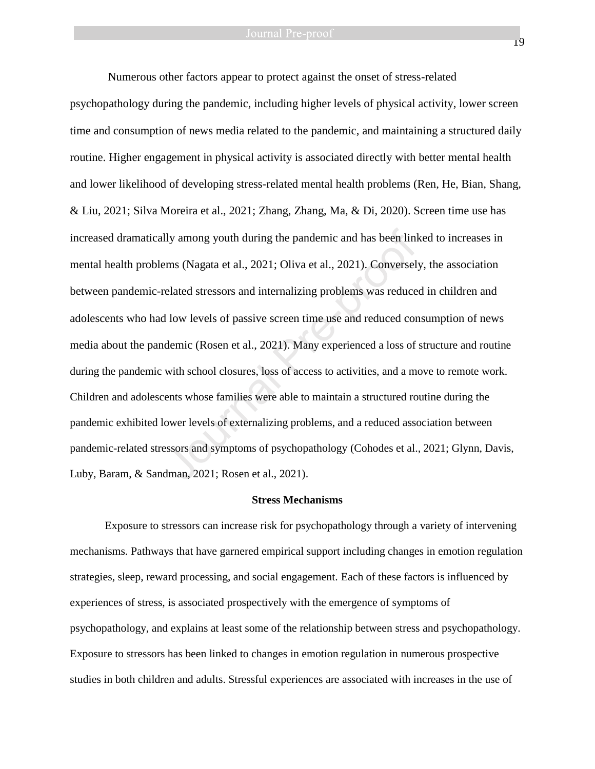Numerous other factors appear to protect against the onset of stress-related psychopathology during the pandemic, including higher levels of physical activity, lower screen time and consumption of news media related to the pandemic, and maintaining a structured daily routine. Higher engagement in physical activity is associated directly with better mental health and lower likelihood of developing stress-related mental health problems (Ren, He, Bian, Shang, & Liu, 2021; Silva Moreira et al., 2021; Zhang, Zhang, Ma, & Di, 2020). Screen time use has increased dramatically among youth during the pandemic and has been linked to increases in mental health problems (Nagata et al., 2021; Oliva et al., 2021). Conversely, the association between pandemic-related stressors and internalizing problems was reduced in children and adolescents who had low levels of passive screen time use and reduced consumption of news media about the pandemic (Rosen et al., 2021). Many experienced a loss of structure and routine during the pandemic with school closures, loss of access to activities, and a move to remote work. Children and adolescents whose families were able to maintain a structured routine during the pandemic exhibited lower levels of externalizing problems, and a reduced association between pandemic-related stressors and symptoms of psychopathology (Cohodes et al., 2021; Glynn, Davis, Luby, Baram, & Sandman, 2021; Rosen et al., 2021). lly among youth during the pandemic and has been link<br>ms (Nagata et al., 2021; Oliva et al., 2021). Conversel:<br>elated stressors and internalizing problems was reduce<br>l low levels of passive screen time use and reduced cor<br>

#### **Stress Mechanisms**

Exposure to stressors can increase risk for psychopathology through a variety of intervening mechanisms. Pathways that have garnered empirical support including changes in emotion regulation strategies, sleep, reward processing, and social engagement. Each of these factors is influenced by experiences of stress, is associated prospectively with the emergence of symptoms of psychopathology, and explains at least some of the relationship between stress and psychopathology. Exposure to stressors has been linked to changes in emotion regulation in numerous prospective studies in both children and adults. Stressful experiences are associated with increases in the use of

19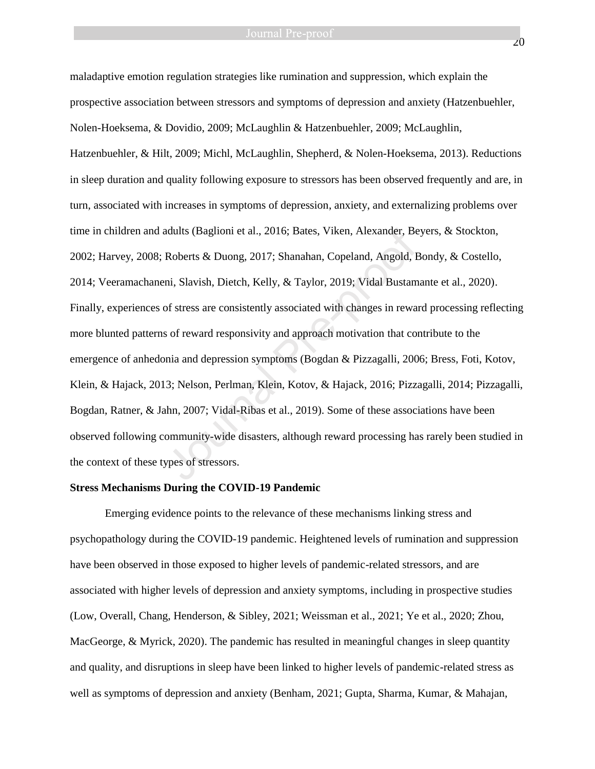maladaptive emotion regulation strategies like rumination and suppression, which explain the prospective association between stressors and symptoms of depression and anxiety (Hatzenbuehler, Nolen-Hoeksema, & Dovidio, 2009; McLaughlin & Hatzenbuehler, 2009; McLaughlin, Hatzenbuehler, & Hilt, 2009; Michl, McLaughlin, Shepherd, & Nolen-Hoeksema, 2013). Reductions in sleep duration and quality following exposure to stressors has been observed frequently and are, in turn, associated with increases in symptoms of depression, anxiety, and externalizing problems over time in children and adults (Baglioni et al., 2016; Bates, Viken, Alexander, Beyers, & Stockton, 2002; Harvey, 2008; Roberts & Duong, 2017; Shanahan, Copeland, Angold, Bondy, & Costello, 2014; Veeramachaneni, Slavish, Dietch, Kelly, & Taylor, 2019; Vidal Bustamante et al., 2020). Finally, experiences of stress are consistently associated with changes in reward processing reflecting more blunted patterns of reward responsivity and approach motivation that contribute to the emergence of anhedonia and depression symptoms (Bogdan & Pizzagalli, 2006; Bress, Foti, Kotov, Klein, & Hajack, 2013; Nelson, Perlman, Klein, Kotov, & Hajack, 2016; Pizzagalli, 2014; Pizzagalli, Bogdan, Ratner, & Jahn, 2007; Vidal-Ribas et al., 2019). Some of these associations have been observed following community-wide disasters, although reward processing has rarely been studied in the context of these types of stressors. adults (Baglioni et al., 2016; Bates, Viken, Alexander, Be<br>Roberts & Duong, 2017; Shanahan, Copeland, Angold, F<br>ni, Slavish, Dietch, Kelly, & Taylor, 2019; Vidal Bustam<br>of stress are consistently associated with changes in

#### **Stress Mechanisms During the COVID-19 Pandemic**

Emerging evidence points to the relevance of these mechanisms linking stress and psychopathology during the COVID-19 pandemic. Heightened levels of rumination and suppression have been observed in those exposed to higher levels of pandemic-related stressors, and are associated with higher levels of depression and anxiety symptoms, including in prospective studies (Low, Overall, Chang, Henderson, & Sibley, 2021; Weissman et al., 2021; Ye et al., 2020; Zhou, MacGeorge, & Myrick, 2020). The pandemic has resulted in meaningful changes in sleep quantity and quality, and disruptions in sleep have been linked to higher levels of pandemic-related stress as well as symptoms of depression and anxiety (Benham, 2021; Gupta, Sharma, Kumar, & Mahajan,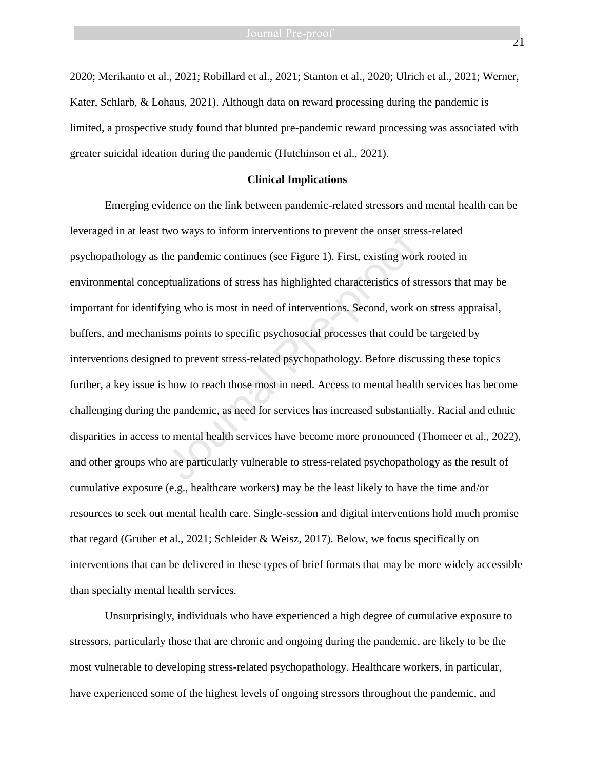2020; Merikanto et al., 2021; Robillard et al., 2021; Stanton et al., 2020; Ulrich et al., 2021; Werner, Kater, Schlarb, & Lohaus, 2021). Although data on reward processing during the pandemic is limited, a prospective study found that blunted pre-pandemic reward processing was associated with greater suicidal ideation during the pandemic (Hutchinson et al., 2021).

#### **Clinical Implications**

Emerging evidence on the link between pandemic-related stressors and mental health can be leveraged in at least two ways to inform interventions to prevent the onset stress-related psychopathology as the pandemic continues (see Figure 1). First, existing work rooted in environmental conceptualizations of stress has highlighted characteristics of stressors that may be important for identifying who is most in need of interventions. Second, work on stress appraisal, buffers, and mechanisms points to specific psychosocial processes that could be targeted by interventions designed to prevent stress-related psychopathology. Before discussing these topics further, a key issue is how to reach those most in need. Access to mental health services has become challenging during the pandemic, as need for services has increased substantially. Racial and ethnic disparities in access to mental health services have become more pronounced (Thomeer et al., 2022), and other groups who are particularly vulnerable to stress-related psychopathology as the result of cumulative exposure (e.g., healthcare workers) may be the least likely to have the time and/or resources to seek out mental health care. Single-session and digital interventions hold much promise that regard (Gruber et al., 2021; Schleider & Weisz, 2017). Below, we focus specifically on interventions that can be delivered in these types of brief formats that may be more widely accessible than specialty mental health services. wo ways to inform interventions to prevent the onset stre<br>he pandemic continues (see Figure 1). First, existing wor<br>ptualizations of stress has highlighted characteristics of st<br>ving who is most in need of interventions. S

Unsurprisingly, individuals who have experienced a high degree of cumulative exposure to stressors, particularly those that are chronic and ongoing during the pandemic, are likely to be the most vulnerable to developing stress-related psychopathology. Healthcare workers, in particular, have experienced some of the highest levels of ongoing stressors throughout the pandemic, and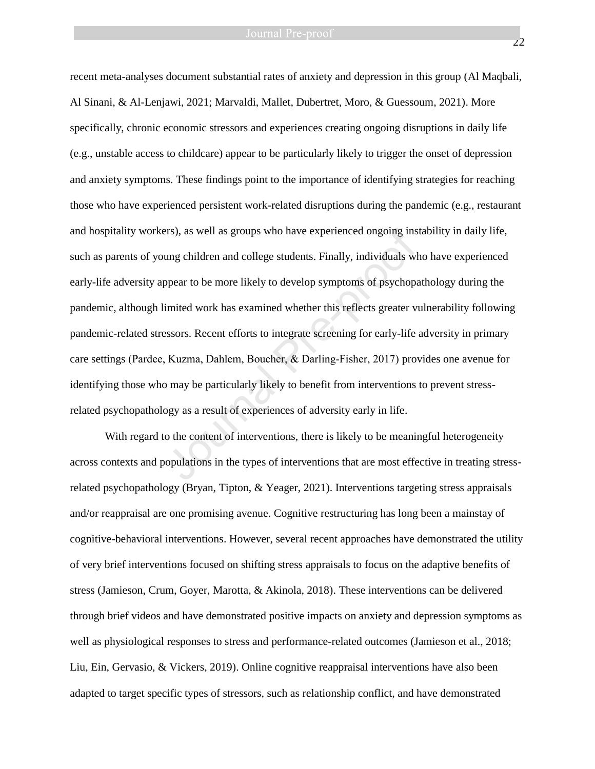22

recent meta-analyses document substantial rates of anxiety and depression in this group (Al Maqbali, Al Sinani, & Al-Lenjawi, 2021; Marvaldi, Mallet, Dubertret, Moro, & Guessoum, 2021). More specifically, chronic economic stressors and experiences creating ongoing disruptions in daily life (e.g., unstable access to childcare) appear to be particularly likely to trigger the onset of depression and anxiety symptoms. These findings point to the importance of identifying strategies for reaching those who have experienced persistent work-related disruptions during the pandemic (e.g., restaurant and hospitality workers), as well as groups who have experienced ongoing instability in daily life, such as parents of young children and college students. Finally, individuals who have experienced early-life adversity appear to be more likely to develop symptoms of psychopathology during the pandemic, although limited work has examined whether this reflects greater vulnerability following pandemic-related stressors. Recent efforts to integrate screening for early-life adversity in primary care settings (Pardee, Kuzma, Dahlem, Boucher, & Darling‐Fisher, 2017) provides one avenue for identifying those who may be particularly likely to benefit from interventions to prevent stressrelated psychopathology as a result of experiences of adversity early in life. Fraction, as well as groups who have experienced ongoing ins<br>ung children and college students. Finally, individuals wild<br>popear to be more likely to develop symptoms of psychopa<br>imited work has examined whether this refle

With regard to the content of interventions, there is likely to be meaningful heterogeneity across contexts and populations in the types of interventions that are most effective in treating stressrelated psychopathology (Bryan, Tipton, & Yeager, 2021). Interventions targeting stress appraisals and/or reappraisal are one promising avenue. Cognitive restructuring has long been a mainstay of cognitive-behavioral interventions. However, several recent approaches have demonstrated the utility of very brief interventions focused on shifting stress appraisals to focus on the adaptive benefits of stress (Jamieson, Crum, Goyer, Marotta, & Akinola, 2018). These interventions can be delivered through brief videos and have demonstrated positive impacts on anxiety and depression symptoms as well as physiological responses to stress and performance-related outcomes (Jamieson et al., 2018; Liu, Ein, Gervasio, & Vickers, 2019). Online cognitive reappraisal interventions have also been adapted to target specific types of stressors, such as relationship conflict, and have demonstrated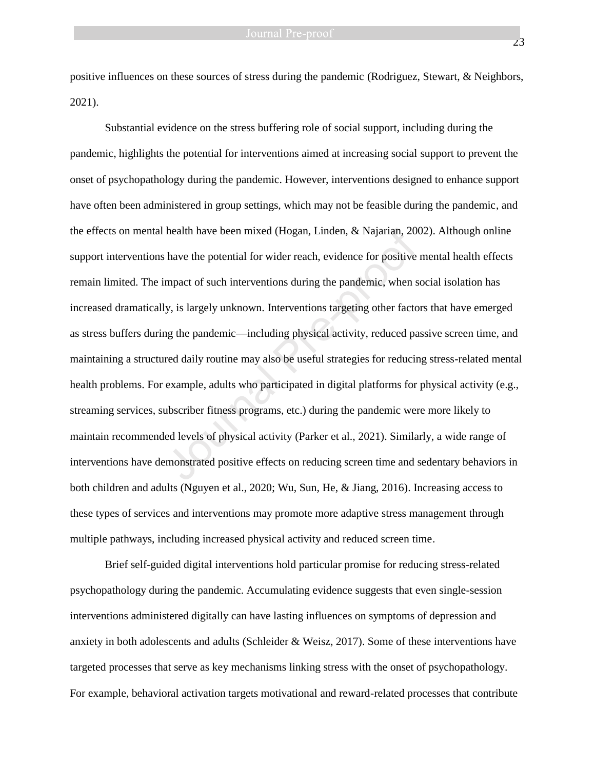positive influences on these sources of stress during the pandemic (Rodriguez, Stewart, & Neighbors, 2021).

Substantial evidence on the stress buffering role of social support, including during the pandemic, highlights the potential for interventions aimed at increasing social support to prevent the onset of psychopathology during the pandemic. However, interventions designed to enhance support have often been administered in group settings, which may not be feasible during the pandemic, and the effects on mental health have been mixed (Hogan, Linden, & Najarian, 2002). Although online support interventions have the potential for wider reach, evidence for positive mental health effects remain limited. The impact of such interventions during the pandemic, when social isolation has increased dramatically, is largely unknown. Interventions targeting other factors that have emerged as stress buffers during the pandemic—including physical activity, reduced passive screen time, and maintaining a structured daily routine may also be useful strategies for reducing stress-related mental health problems. For example, adults who participated in digital platforms for physical activity (e.g., streaming services, subscriber fitness programs, etc.) during the pandemic were more likely to maintain recommended levels of physical activity (Parker et al., 2021). Similarly, a wide range of interventions have demonstrated positive effects on reducing screen time and sedentary behaviors in both children and adults (Nguyen et al., 2020; Wu, Sun, He, & Jiang, 2016). Increasing access to these types of services and interventions may promote more adaptive stress management through multiple pathways, including increased physical activity and reduced screen time. health have been mixed (Hogan, Linden, & Najarian, 20<br>have the potential for wider reach, evidence for positive<br>mpact of such interventions during the pandemic, when s<br>y, is largely unknown. Interventions targeting other f

Brief self-guided digital interventions hold particular promise for reducing stress-related psychopathology during the pandemic. Accumulating evidence suggests that even single-session interventions administered digitally can have lasting influences on symptoms of depression and anxiety in both adolescents and adults (Schleider & Weisz, 2017). Some of these interventions have targeted processes that serve as key mechanisms linking stress with the onset of psychopathology. For example, behavioral activation targets motivational and reward-related processes that contribute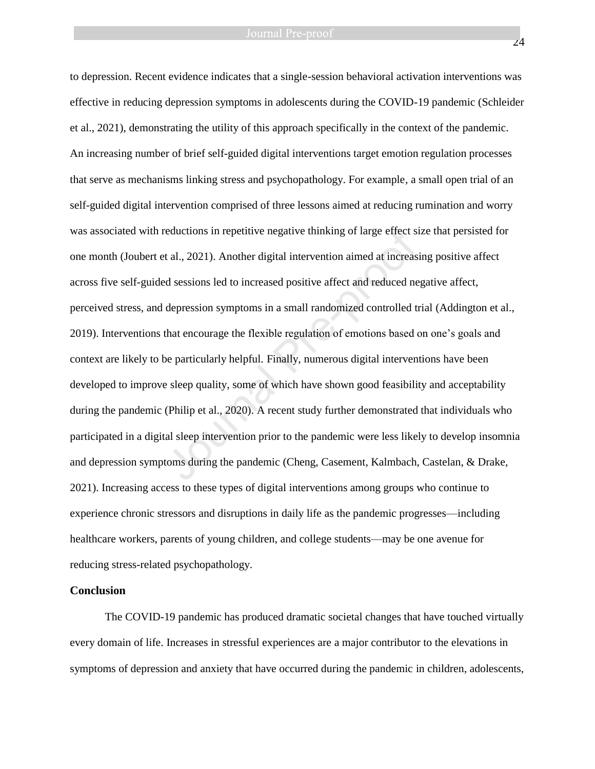to depression. Recent evidence indicates that a single-session behavioral activation interventions was effective in reducing depression symptoms in adolescents during the COVID-19 pandemic (Schleider et al., 2021), demonstrating the utility of this approach specifically in the context of the pandemic. An increasing number of brief self-guided digital interventions target emotion regulation processes that serve as mechanisms linking stress and psychopathology. For example, a small open trial of an self-guided digital intervention comprised of three lessons aimed at reducing rumination and worry was associated with reductions in repetitive negative thinking of large effect size that persisted for one month (Joubert et al., 2021). Another digital intervention aimed at increasing positive affect across five self-guided sessions led to increased positive affect and reduced negative affect, perceived stress, and depression symptoms in a small randomized controlled trial (Addington et al., 2019). Interventions that encourage the flexible regulation of emotions based on one's goals and context are likely to be particularly helpful. Finally, numerous digital interventions have been developed to improve sleep quality, some of which have shown good feasibility and acceptability during the pandemic (Philip et al., 2020). A recent study further demonstrated that individuals who participated in a digital sleep intervention prior to the pandemic were less likely to develop insomnia and depression symptoms during the pandemic (Cheng, Casement, Kalmbach, Castelan, & Drake, 2021). Increasing access to these types of digital interventions among groups who continue to experience chronic stressors and disruptions in daily life as the pandemic progresses—including healthcare workers, parents of young children, and college students—may be one avenue for reducing stress-related psychopathology. reductions in repetitive negative thinking of large effect st al., 2021). Another digital intervention aimed at increased sessions led to increased positive affect and reduced nedepression symptoms in a small randomized co

### **Conclusion**

The COVID-19 pandemic has produced dramatic societal changes that have touched virtually every domain of life. Increases in stressful experiences are a major contributor to the elevations in symptoms of depression and anxiety that have occurred during the pandemic in children, adolescents,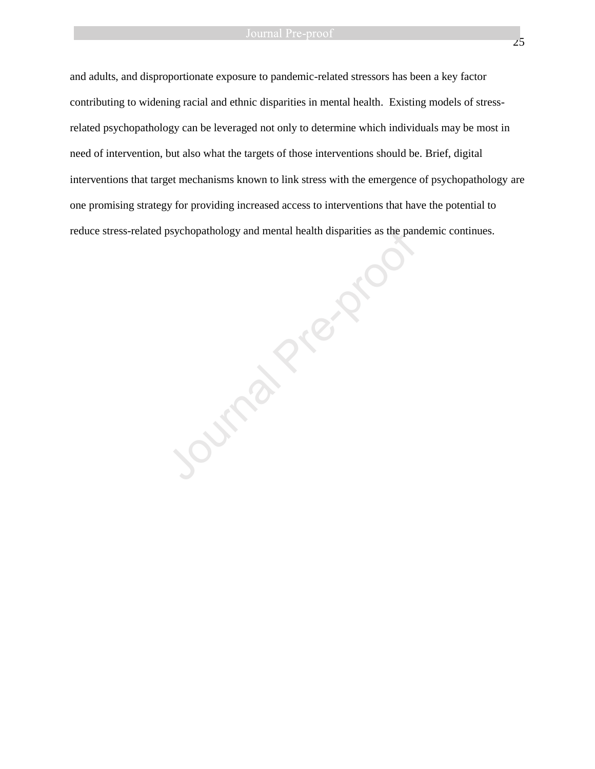and adults, and disproportionate exposure to pandemic-related stressors has been a key factor contributing to widening racial and ethnic disparities in mental health. Existing models of stressrelated psychopathology can be leveraged not only to determine which individuals may be most in need of intervention, but also what the targets of those interventions should be. Brief, digital interventions that target mechanisms known to link stress with the emergence of psychopathology are one promising strategy for providing increased access to interventions that have the potential to

reduce stress-related psychopathology and mental health disparities as the pandemic continues. Journal Pre-proof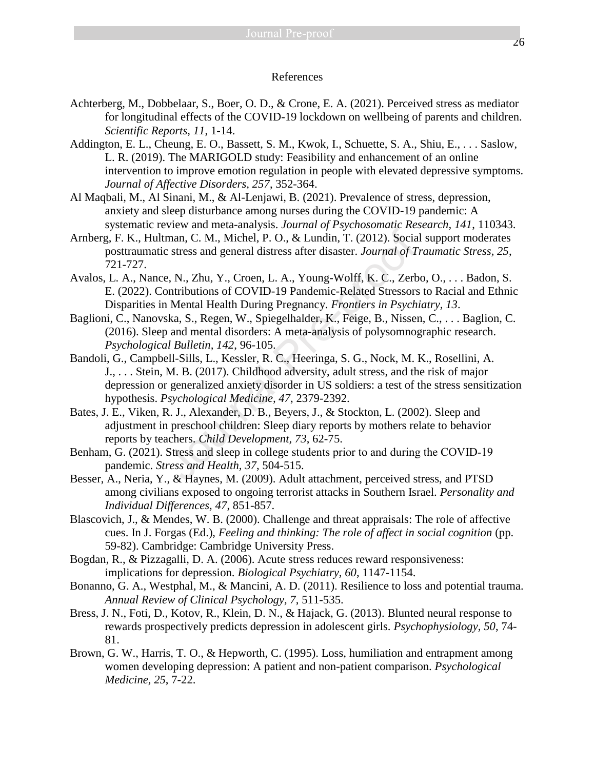# References

- Achterberg, M., Dobbelaar, S., Boer, O. D., & Crone, E. A. (2021). Perceived stress as mediator for longitudinal effects of the COVID-19 lockdown on wellbeing of parents and children. *Scientific Reports, 11*, 1-14.
- Addington, E. L., Cheung, E. O., Bassett, S. M., Kwok, I., Schuette, S. A., Shiu, E., . . . Saslow, L. R. (2019). The MARIGOLD study: Feasibility and enhancement of an online intervention to improve emotion regulation in people with elevated depressive symptoms. *Journal of Affective Disorders, 257*, 352-364.
- Al Maqbali, M., Al Sinani, M., & Al-Lenjawi, B. (2021). Prevalence of stress, depression, anxiety and sleep disturbance among nurses during the COVID-19 pandemic: A systematic review and meta-analysis. *Journal of Psychosomatic Research, 141*, 110343.
- Arnberg, F. K., Hultman, C. M., Michel, P. O., & Lundin, T. (2012). Social support moderates posttraumatic stress and general distress after disaster. *Journal of Traumatic Stress, 25*, 721-727.
- Avalos, L. A., Nance, N., Zhu, Y., Croen, L. A., Young-Wolff, K. C., Zerbo, O., . . . Badon, S. E. (2022). Contributions of COVID-19 Pandemic-Related Stressors to Racial and Ethnic Disparities in Mental Health During Pregnancy. *Frontiers in Psychiatry, 13*.
- Baglioni, C., Nanovska, S., Regen, W., Spiegelhalder, K., Feige, B., Nissen, C., . . . Baglion, C. (2016). Sleep and mental disorders: A meta-analysis of polysomnographic research. *Psychological Bulletin, 142*, 96-105.
- Bandoli, G., Campbell-Sills, L., Kessler, R. C., Heeringa, S. G., Nock, M. K., Rosellini, A. J., . . . Stein, M. B. (2017). Childhood adversity, adult stress, and the risk of major depression or generalized anxiety disorder in US soldiers: a test of the stress sensitization hypothesis. *Psychological Medicine, 47*, 2379-2392. France, C. M., Michel, P.O., & Lundin, T. (2012). Socia<br>
man, C. M., Michel, P. O., & Lundin, T. (2012). Socia<br>
c stress and general distress after disaster. Journal of T<br>
e, N., Zhu, Y., Croen, L. A., Young-Wolff, K. C.,
- Bates, J. E., Viken, R. J., Alexander, D. B., Beyers, J., & Stockton, L. (2002). Sleep and adjustment in preschool children: Sleep diary reports by mothers relate to behavior reports by teachers. *Child Development, 73*, 62-75.
- Benham, G. (2021). Stress and sleep in college students prior to and during the COVID-19 pandemic. *Stress and Health, 37*, 504-515.
- Besser, A., Neria, Y., & Haynes, M. (2009). Adult attachment, perceived stress, and PTSD among civilians exposed to ongoing terrorist attacks in Southern Israel. *Personality and Individual Differences, 47*, 851-857.
- Blascovich, J., & Mendes, W. B. (2000). Challenge and threat appraisals: The role of affective cues. In J. Forgas (Ed.), *Feeling and thinking: The role of affect in social cognition* (pp. 59-82). Cambridge: Cambridge University Press.
- Bogdan, R., & Pizzagalli, D. A. (2006). Acute stress reduces reward responsiveness: implications for depression. *Biological Psychiatry, 60*, 1147-1154.
- Bonanno, G. A., Westphal, M., & Mancini, A. D. (2011). Resilience to loss and potential trauma. *Annual Review of Clinical Psychology, 7*, 511-535.
- Bress, J. N., Foti, D., Kotov, R., Klein, D. N., & Hajack, G. (2013). Blunted neural response to rewards prospectively predicts depression in adolescent girls. *Psychophysiology, 50*, 74- 81.
- Brown, G. W., Harris, T. O., & Hepworth, C. (1995). Loss, humiliation and entrapment among women developing depression: A patient and non-patient comparison. *Psychological Medicine, 25*, 7-22.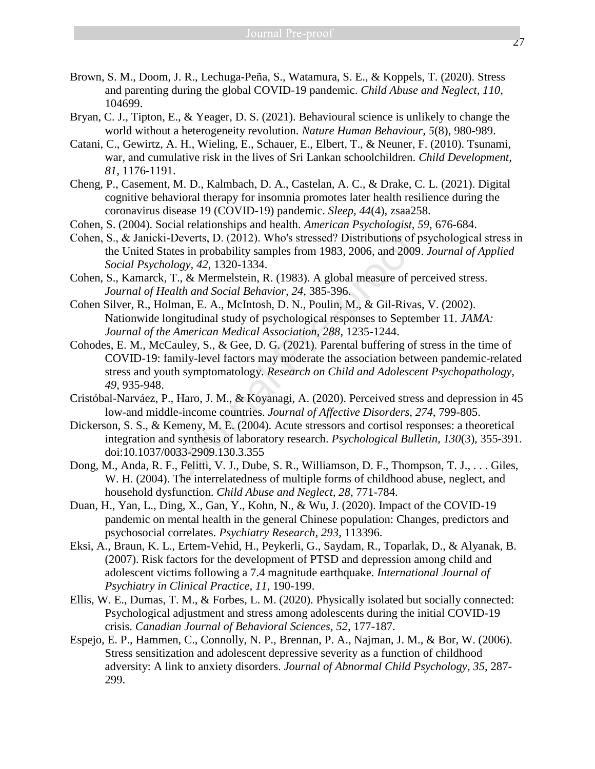- Brown, S. M., Doom, J. R., Lechuga-Peña, S., Watamura, S. E., & Koppels, T. (2020). Stress and parenting during the global COVID-19 pandemic. *Child Abuse and Neglect, 110*, 104699.
- Bryan, C. J., Tipton, E., & Yeager, D. S. (2021). Behavioural science is unlikely to change the world without a heterogeneity revolution. *Nature Human Behaviour, 5*(8), 980-989.
- Catani, C., Gewirtz, A. H., Wieling, E., Schauer, E., Elbert, T., & Neuner, F. (2010). Tsunami, war, and cumulative risk in the lives of Sri Lankan schoolchildren. *Child Development, 81*, 1176-1191.
- Cheng, P., Casement, M. D., Kalmbach, D. A., Castelan, A. C., & Drake, C. L. (2021). Digital cognitive behavioral therapy for insomnia promotes later health resilience during the coronavirus disease 19 (COVID-19) pandemic. *Sleep, 44*(4), zsaa258.
- Cohen, S. (2004). Social relationships and health. *American Psychologist, 59*, 676-684.
- Cohen, S., & Janicki‐Deverts, D. (2012). Who's stressed? Distributions of psychological stress in the United States in probability samples from 1983, 2006, and 2009. *Journal of Applied Social Psychology, 42*, 1320-1334.
- Cohen, S., Kamarck, T., & Mermelstein, R. (1983). A global measure of perceived stress. *Journal of Health and Social Behavior, 24*, 385-396.
- Cohen Silver, R., Holman, E. A., McIntosh, D. N., Poulin, M., & Gil-Rivas, V. (2002). Nationwide longitudinal study of psychological responses to September 11. *JAMA: Journal of the American Medical Association, 288*, 1235-1244.
- Cohodes, E. M., McCauley, S., & Gee, D. G. (2021). Parental buffering of stress in the time of COVID-19: family-level factors may moderate the association between pandemic-related stress and youth symptomatology. *Research on Child and Adolescent Psychopathology, 49*, 935-948. Solution: The Vietner School (2012). Who's stressed? Distributions of j<br>i-Deverts, D. (2012). Who's stressed? Distributions of j<br>atates in probability samples from 1983, 2006, and 2009<br>*ology, 42*, 1320-1334.<br>T., & Mermels
- Cristóbal-Narváez, P., Haro, J. M., & Koyanagi, A. (2020). Perceived stress and depression in 45 low-and middle-income countries. *Journal of Affective Disorders, 274*, 799-805.
- Dickerson, S. S., & Kemeny, M. E. (2004). Acute stressors and cortisol responses: a theoretical integration and synthesis of laboratory research. *Psychological Bulletin, 130*(3), 355-391. doi:10.1037/0033-2909.130.3.355
- Dong, M., Anda, R. F., Felitti, V. J., Dube, S. R., Williamson, D. F., Thompson, T. J., . . . Giles, W. H. (2004). The interrelatedness of multiple forms of childhood abuse, neglect, and household dysfunction. *Child Abuse and Neglect, 28*, 771-784.
- Duan, H., Yan, L., Ding, X., Gan, Y., Kohn, N., & Wu, J. (2020). Impact of the COVID-19 pandemic on mental health in the general Chinese population: Changes, predictors and psychosocial correlates. *Psychiatry Research, 293*, 113396.
- Eksi, A., Braun, K. L., Ertem-Vehid, H., Peykerli, G., Saydam, R., Toparlak, D., & Alyanak, B. (2007). Risk factors for the development of PTSD and depression among child and adolescent victims following a 7.4 magnitude earthquake. *International Journal of Psychiatry in Clinical Practice, 11*, 190-199.
- Ellis, W. E., Dumas, T. M., & Forbes, L. M. (2020). Physically isolated but socially connected: Psychological adjustment and stress among adolescents during the initial COVID-19 crisis. *Canadian Journal of Behavioral Sciences, 52*, 177-187.
- Espejo, E. P., Hammen, C., Connolly, N. P., Brennan, P. A., Najman, J. M., & Bor, W. (2006). Stress sensitization and adolescent depressive severity as a function of childhood adversity: A link to anxiety disorders. *Journal of Abnormal Child Psychology, 35*, 287- 299.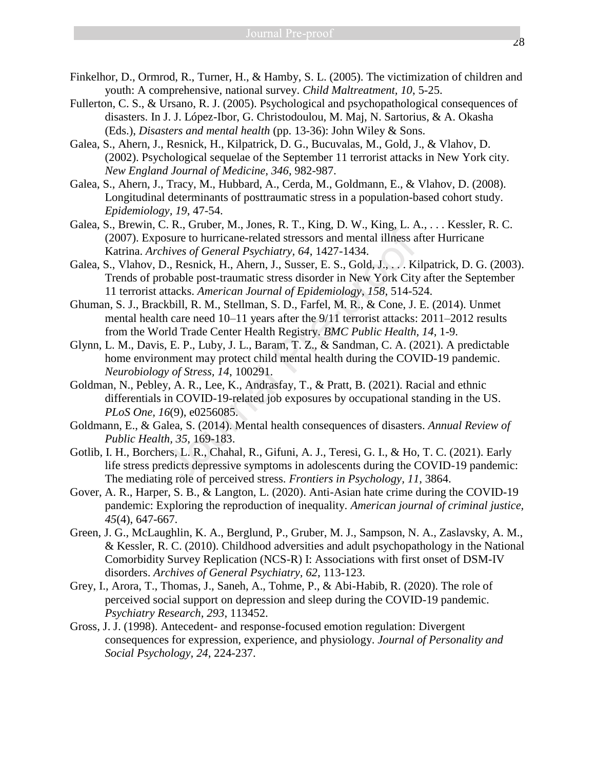- Finkelhor, D., Ormrod, R., Turner, H., & Hamby, S. L. (2005). The victimization of children and youth: A comprehensive, national survey. *Child Maltreatment, 10*, 5-25.
- Fullerton, C. S., & Ursano, R. J. (2005). Psychological and psychopathological consequences of disasters. In J. J. López-Ibor, G. Christodoulou, M. Maj, N. Sartorius, & A. Okasha (Eds.), *Disasters and mental health* (pp. 13-36): John Wiley & Sons.
- Galea, S., Ahern, J., Resnick, H., Kilpatrick, D. G., Bucuvalas, M., Gold, J., & Vlahov, D. (2002). Psychological sequelae of the September 11 terrorist attacks in New York city. *New England Journal of Medicine, 346*, 982-987.
- Galea, S., Ahern, J., Tracy, M., Hubbard, A., Cerda, M., Goldmann, E., & Vlahov, D. (2008). Longitudinal determinants of posttraumatic stress in a population-based cohort study. *Epidemiology, 19*, 47-54.
- Galea, S., Brewin, C. R., Gruber, M., Jones, R. T., King, D. W., King, L. A., . . . Kessler, R. C. (2007). Exposure to hurricane-related stressors and mental illness after Hurricane Katrina. *Archives of General Psychiatry, 64*, 1427-1434.
- Galea, S., Vlahov, D., Resnick, H., Ahern, J., Susser, E. S., Gold, J., . . . Kilpatrick, D. G. (2003). Trends of probable post-traumatic stress disorder in New York City after the September 11 terrorist attacks. *American Journal of Epidemiology, 158*, 514-524.
- Ghuman, S. J., Brackbill, R. M., Stellman, S. D., Farfel, M. R., & Cone, J. E. (2014). Unmet mental health care need 10–11 years after the 9/11 terrorist attacks: 2011–2012 results from the World Trade Center Health Registry. *BMC Public Health, 14*, 1-9. Fraction to hurricane-related stressors and mental illness a<br>bisure to hurricane-related stressors and mental illness a<br>hives of General Psychiatry, 64, 1427-1434.<br>D., Resnick, H., Ahern, J., Susser, E. S., Gold, J., ...
- Glynn, L. M., Davis, E. P., Luby, J. L., Baram, T. Z., & Sandman, C. A. (2021). A predictable home environment may protect child mental health during the COVID-19 pandemic. *Neurobiology of Stress, 14*, 100291.
- Goldman, N., Pebley, A. R., Lee, K., Andrasfay, T., & Pratt, B. (2021). Racial and ethnic differentials in COVID-19-related job exposures by occupational standing in the US. *PLoS One, 16*(9), e0256085.
- Goldmann, E., & Galea, S. (2014). Mental health consequences of disasters. *Annual Review of Public Health, 35*, 169-183.
- Gotlib, I. H., Borchers, L. R., Chahal, R., Gifuni, A. J., Teresi, G. I., & Ho, T. C. (2021). Early life stress predicts depressive symptoms in adolescents during the COVID-19 pandemic: The mediating role of perceived stress. *Frontiers in Psychology, 11*, 3864.
- Gover, A. R., Harper, S. B., & Langton, L. (2020). Anti-Asian hate crime during the COVID-19 pandemic: Exploring the reproduction of inequality. *American journal of criminal justice, 45*(4), 647-667.
- Green, J. G., McLaughlin, K. A., Berglund, P., Gruber, M. J., Sampson, N. A., Zaslavsky, A. M., & Kessler, R. C. (2010). Childhood adversities and adult psychopathology in the National Comorbidity Survey Replication (NCS-R) I: Associations with first onset of DSM-IV disorders. *Archives of General Psychiatry, 62*, 113-123.
- Grey, I., Arora, T., Thomas, J., Saneh, A., Tohme, P., & Abi-Habib, R. (2020). The role of perceived social support on depression and sleep during the COVID-19 pandemic. *Psychiatry Research, 293*, 113452.
- Gross, J. J. (1998). Antecedent- and response-focused emotion regulation: Divergent consequences for expression, experience, and physiology. *Journal of Personality and Social Psychology, 24*, 224-237.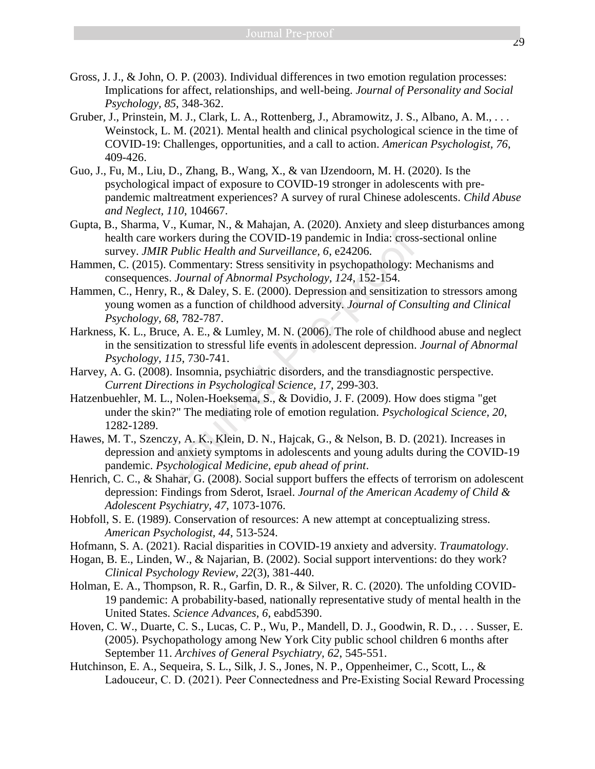- Gross, J. J., & John, O. P. (2003). Individual differences in two emotion regulation processes: Implications for affect, relationships, and well-being. *Journal of Personality and Social Psychology, 85*, 348-362.
- Gruber, J., Prinstein, M. J., Clark, L. A., Rottenberg, J., Abramowitz, J. S., Albano, A. M., . . . Weinstock, L. M. (2021). Mental health and clinical psychological science in the time of COVID-19: Challenges, opportunities, and a call to action. *American Psychologist, 76*, 409-426.
- Guo, J., Fu, M., Liu, D., Zhang, B., Wang, X., & van IJzendoorn, M. H. (2020). Is the psychological impact of exposure to COVID-19 stronger in adolescents with prepandemic maltreatment experiences? A survey of rural Chinese adolescents. *Child Abuse and Neglect, 110*, 104667.
- Gupta, B., Sharma, V., Kumar, N., & Mahajan, A. (2020). Anxiety and sleep disturbances among health care workers during the COVID-19 pandemic in India: cross-sectional online survey. *JMIR Public Health and Surveillance, 6*, e24206.
- Hammen, C. (2015). Commentary: Stress sensitivity in psychopathology: Mechanisms and consequences. *Journal of Abnormal Psychology, 124*, 152-154.
- Hammen, C., Henry, R., & Daley, S. E. (2000). Depression and sensitization to stressors among young women as a function of childhood adversity. *Journal of Consulting and Clinical Psychology, 68*, 782-787.
- Harkness, K. L., Bruce, A. E., & Lumley, M. N. (2006). The role of childhood abuse and neglect in the sensitization to stressful life events in adolescent depression. *Journal of Abnormal Psychology, 115*, 730-741.
- Harvey, A. G. (2008). Insomnia, psychiatric disorders, and the transdiagnostic perspective. *Current Directions in Psychological Science, 17*, 299-303.
- Hatzenbuehler, M. L., Nolen-Hoeksema, S., & Dovidio, J. F. (2009). How does stigma "get under the skin?" The mediating role of emotion regulation. *Psychological Science, 20*, 1282-1289. vorkers during the COVID-19 pandemic in India: cross<br> *Rehalic Health and Surveillance*, 6, e24206.<br> *Rehalic Health and Surveillance*, 6, e24206.<br> *Commentary: Stress sensitivity in psychopathology: Normal of Abnormal Psy*
- Hawes, M. T., Szenczy, A. K., Klein, D. N., Hajcak, G., & Nelson, B. D. (2021). Increases in depression and anxiety symptoms in adolescents and young adults during the COVID-19 pandemic. *Psychological Medicine, epub ahead of print*.
- Henrich, C. C., & Shahar, G. (2008). Social support buffers the effects of terrorism on adolescent depression: Findings from Sderot, Israel. *Journal of the American Academy of Child & Adolescent Psychiatry, 47*, 1073-1076.
- Hobfoll, S. E. (1989). Conservation of resources: A new attempt at conceptualizing stress. *American Psychologist, 44*, 513-524.
- Hofmann, S. A. (2021). Racial disparities in COVID-19 anxiety and adversity. *Traumatology*.
- Hogan, B. E., Linden, W., & Najarian, B. (2002). Social support interventions: do they work? *Clinical Psychology Review, 22*(3), 381-440.
- Holman, E. A., Thompson, R. R., Garfin, D. R., & Silver, R. C. (2020). The unfolding COVID-19 pandemic: A probability-based, nationally representative study of mental health in the United States. *Science Advances, 6*, eabd5390.
- Hoven, C. W., Duarte, C. S., Lucas, C. P., Wu, P., Mandell, D. J., Goodwin, R. D., . . . Susser, E. (2005). Psychopathology among New York City public school children 6 months after September 11. *Archives of General Psychiatry, 62*, 545-551.
- Hutchinson, E. A., Sequeira, S. L., Silk, J. S., Jones, N. P., Oppenheimer, C., Scott, L., & Ladouceur, C. D. (2021). Peer Connectedness and Pre‐Existing Social Reward Processing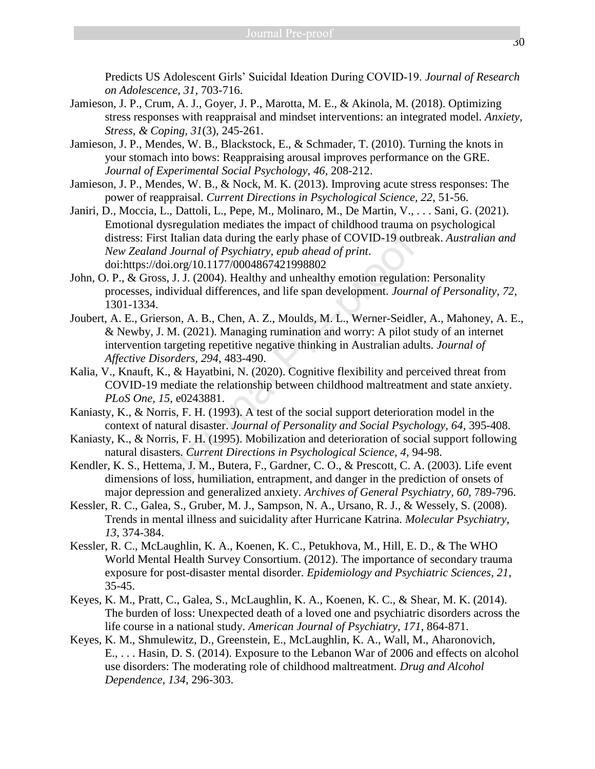Predicts US Adolescent Girls' Suicidal Ideation During COVID‐19. *Journal of Research on Adolescence, 31*, 703-716.

- Jamieson, J. P., Crum, A. J., Goyer, J. P., Marotta, M. E., & Akinola, M. (2018). Optimizing stress responses with reappraisal and mindset interventions: an integrated model. *Anxiety, Stress, & Coping, 31*(3), 245-261.
- Jamieson, J. P., Mendes, W. B., Blackstock, E., & Schmader, T. (2010). Turning the knots in your stomach into bows: Reappraising arousal improves performance on the GRE. *Journal of Experimental Social Psychology, 46*, 208-212.
- Jamieson, J. P., Mendes, W. B., & Nock, M. K. (2013). Improving acute stress responses: The power of reappraisal. *Current Directions in Psychological Science, 22*, 51-56.
- Janiri, D., Moccia, L., Dattoli, L., Pepe, M., Molinaro, M., De Martin, V., . . . Sani, G. (2021). Emotional dysregulation mediates the impact of childhood trauma on psychological distress: First Italian data during the early phase of COVID-19 outbreak. *Australian and New Zealand Journal of Psychiatry, epub ahead of print*. doi:https://doi.org/10.1177/0004867421998802
- John, O. P., & Gross, J. J. (2004). Healthy and unhealthy emotion regulation: Personality processes, individual differences, and life span development. *Journal of Personality, 72*, 1301-1334.
- Joubert, A. E., Grierson, A. B., Chen, A. Z., Moulds, M. L., Werner-Seidler, A., Mahoney, A. E., & Newby, J. M. (2021). Managing rumination and worry: A pilot study of an internet intervention targeting repetitive negative thinking in Australian adults. *Journal of Affective Disorders, 294*, 483-490. *Maximumia in the early phase of COVID-19 outh I Italian data during the early phase of COVID-19 outh <i>I Journal of Psychiatry, epub ahead of print.*<br> *Maximumia of Psychiatry, epub ahead of print.*<br> *Maximumia difference*
- Kalia, V., Knauft, K., & Hayatbini, N. (2020). Cognitive flexibility and perceived threat from COVID-19 mediate the relationship between childhood maltreatment and state anxiety. *PLoS One, 15*, e0243881.
- Kaniasty, K., & Norris, F. H. (1993). A test of the social support deterioration model in the context of natural disaster. *Journal of Personality and Social Psychology, 64*, 395-408.
- Kaniasty, K., & Norris, F. H. (1995). Mobilization and deterioration of social support following natural disasters. *Current Directions in Psychological Science, 4*, 94-98.
- Kendler, K. S., Hettema, J. M., Butera, F., Gardner, C. O., & Prescott, C. A. (2003). Life event dimensions of loss, humiliation, entrapment, and danger in the prediction of onsets of major depression and generalized anxiety. *Archives of General Psychiatry, 60*, 789-796.
- Kessler, R. C., Galea, S., Gruber, M. J., Sampson, N. A., Ursano, R. J., & Wessely, S. (2008). Trends in mental illness and suicidality after Hurricane Katrina. *Molecular Psychiatry, 13*, 374-384.
- Kessler, R. C., McLaughlin, K. A., Koenen, K. C., Petukhova, M., Hill, E. D., & The WHO World Mental Health Survey Consortium. (2012). The importance of secondary trauma exposure for post-disaster mental disorder. *Epidemiology and Psychiatric Sciences, 21*, 35-45.
- Keyes, K. M., Pratt, C., Galea, S., McLaughlin, K. A., Koenen, K. C., & Shear, M. K. (2014). The burden of loss: Unexpected death of a loved one and psychiatric disorders across the life course in a national study. *American Journal of Psychiatry, 171*, 864-871.
- Keyes, K. M., Shmulewitz, D., Greenstein, E., McLaughlin, K. A., Wall, M., Aharonovich, E., . . . Hasin, D. S. (2014). Exposure to the Lebanon War of 2006 and effects on alcohol use disorders: The moderating role of childhood maltreatment. *Drug and Alcohol Dependence, 134*, 296-303.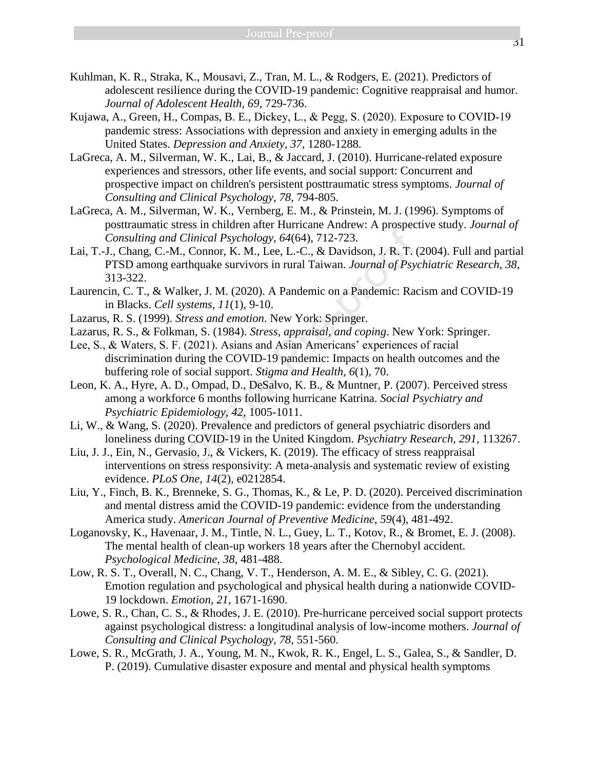- Kuhlman, K. R., Straka, K., Mousavi, Z., Tran, M. L., & Rodgers, E. (2021). Predictors of adolescent resilience during the COVID-19 pandemic: Cognitive reappraisal and humor. *Journal of Adolescent Health, 69*, 729-736.
- Kujawa, A., Green, H., Compas, B. E., Dickey, L., & Pegg, S. (2020). Exposure to COVID‐19 pandemic stress: Associations with depression and anxiety in emerging adults in the United States. *Depression and Anxiety, 37*, 1280-1288.
- LaGreca, A. M., Silverman, W. K., Lai, B., & Jaccard, J. (2010). Hurricane-related exposure experiences and stressors, other life events, and social support: Concurrent and prospective impact on children's persistent posttraumatic stress symptoms. *Journal of Consulting and Clinical Psychology, 78*, 794-805.
- LaGreca, A. M., Silverman, W. K., Vernberg, E. M., & Prinstein, M. J. (1996). Symptoms of posttraumatic stress in children after Hurricane Andrew: A prospective study. *Journal of Consulting and Clinical Psychology, 64*(64), 712-723.
- Lai, T.-J., Chang, C.-M., Connor, K. M., Lee, L.-C., & Davidson, J. R. T. (2004). Full and partial PTSD among earthquake survivors in rural Taiwan. *Journal of Psychiatric Research, 38*, 313-322.
- Laurencin, C. T., & Walker, J. M. (2020). A Pandemic on a Pandemic: Racism and COVID-19 in Blacks. *Cell systems, 11*(1), 9-10.
- Lazarus, R. S. (1999). *Stress and emotion*. New York: Springer.
- Lazarus, R. S., & Folkman, S. (1984). *Stress, appraisal, and coping*. New York: Springer.
- Lee, S., & Waters, S. F. (2021). Asians and Asian Americans' experiences of racial discrimination during the COVID-19 pandemic: Impacts on health outcomes and the buffering role of social support. *Stigma and Health, 6*(1), 70. *Ma Clinical Psychology, 64*(64), 712-723.<br>
-M., Connor, K. M., Lee, L.-C., & Davidson, J. R. T. (<br>
g earthquake survivors in rural Taiwan. Journal of Psychology, 64(64), 712-723.<br>
Walker, J. M. (2020). A Pandemic on a Pa
- Leon, K. A., Hyre, A. D., Ompad, D., DeSalvo, K. B., & Muntner, P. (2007). Perceived stress among a workforce 6 months following hurricane Katrina. *Social Psychiatry and Psychiatric Epidemiology, 42*, 1005-1011.
- Li, W., & Wang, S. (2020). Prevalence and predictors of general psychiatric disorders and loneliness during COVID-19 in the United Kingdom. *Psychiatry Research, 291*, 113267.
- Liu, J. J., Ein, N., Gervasio, J., & Vickers, K. (2019). The efficacy of stress reappraisal interventions on stress responsivity: A meta-analysis and systematic review of existing evidence. *PLoS One, 14*(2), e0212854.
- Liu, Y., Finch, B. K., Brenneke, S. G., Thomas, K., & Le, P. D. (2020). Perceived discrimination and mental distress amid the COVID-19 pandemic: evidence from the understanding America study. *American Journal of Preventive Medicine, 59*(4), 481-492.
- Loganovsky, K., Havenaar, J. M., Tintle, N. L., Guey, L. T., Kotov, R., & Bromet, E. J. (2008). The mental health of clean-up workers 18 years after the Chernobyl accident. *Psychological Medicine, 38*, 481-488.
- Low, R. S. T., Overall, N. C., Chang, V. T., Henderson, A. M. E., & Sibley, C. G. (2021). Emotion regulation and psychological and physical health during a nationwide COVID-19 lockdown. *Emotion, 21*, 1671-1690.
- Lowe, S. R., Chan, C. S., & Rhodes, J. E. (2010). Pre-hurricane perceived social support protects against psychological distress: a longitudinal analysis of low-income mothers. *Journal of Consulting and Clinical Psychology, 78*, 551-560.
- Lowe, S. R., McGrath, J. A., Young, M. N., Kwok, R. K., Engel, L. S., Galea, S., & Sandler, D. P. (2019). Cumulative disaster exposure and mental and physical health symptoms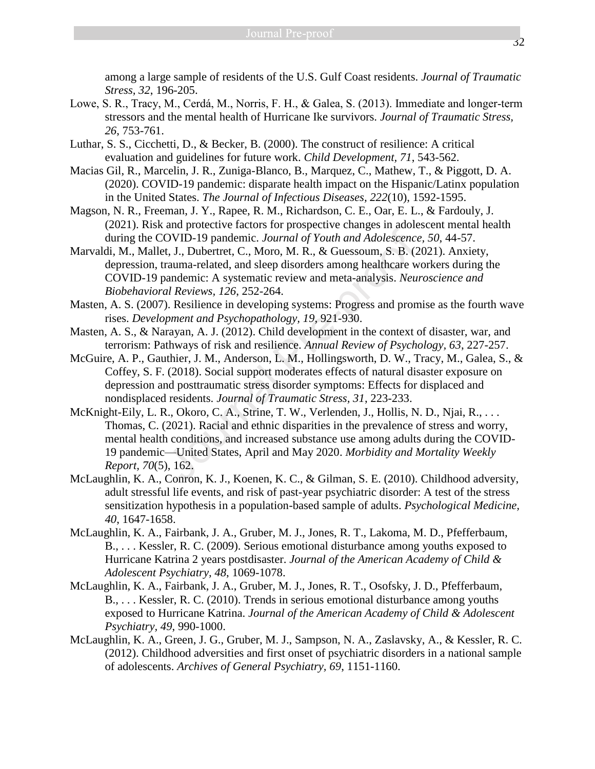among a large sample of residents of the U.S. Gulf Coast residents. *Journal of Traumatic Stress, 32*, 196-205.

- Lowe, S. R., Tracy, M., Cerdá, M., Norris, F. H., & Galea, S. (2013). Immediate and longer‐term stressors and the mental health of Hurricane Ike survivors. *Journal of Traumatic Stress, 26*, 753-761.
- Luthar, S. S., Cicchetti, D., & Becker, B. (2000). The construct of resilience: A critical evaluation and guidelines for future work. *Child Development, 71*, 543-562.
- Macias Gil, R., Marcelin, J. R., Zuniga-Blanco, B., Marquez, C., Mathew, T., & Piggott, D. A. (2020). COVID-19 pandemic: disparate health impact on the Hispanic/Latinx population in the United States. *The Journal of Infectious Diseases, 222*(10), 1592-1595.
- Magson, N. R., Freeman, J. Y., Rapee, R. M., Richardson, C. E., Oar, E. L., & Fardouly, J. (2021). Risk and protective factors for prospective changes in adolescent mental health during the COVID-19 pandemic. *Journal of Youth and Adolescence, 50*, 44-57.
- Marvaldi, M., Mallet, J., Dubertret, C., Moro, M. R., & Guessoum, S. B. (2021). Anxiety, depression, trauma-related, and sleep disorders among healthcare workers during the COVID-19 pandemic: A systematic review and meta-analysis. *Neuroscience and Biobehavioral Reviews, 126*, 252-264.
- Masten, A. S. (2007). Resilience in developing systems: Progress and promise as the fourth wave rises. *Development and Psychopathology, 19*, 921-930.
- Masten, A. S., & Narayan, A. J. (2012). Child development in the context of disaster, war, and terrorism: Pathways of risk and resilience. *Annual Review of Psychology, 63*, 227-257.
- McGuire, A. P., Gauthier, J. M., Anderson, L. M., Hollingsworth, D. W., Tracy, M., Galea, S., & Coffey, S. F. (2018). Social support moderates effects of natural disaster exposure on depression and posttraumatic stress disorder symptoms: Effects for displaced and nondisplaced residents. *Journal of Traumatic Stress, 31*, 223-233.
- McKnight-Eily, L. R., Okoro, C. A., Strine, T. W., Verlenden, J., Hollis, N. D., Njai, R., ... Thomas, C. (2021). Racial and ethnic disparities in the prevalence of stress and worry, mental health conditions, and increased substance use among adults during the COVID-19 pandemic—United States, April and May 2020. *Morbidity and Mortality Weekly Report, 70*(5), 162. and Providentic *Lournal of Youth and Adolescence*<br>COVID-19 pandemic. Journal of Youth and Adolescence<br>t, J., Dubertret, C., Moro, M. R., & Guessoum, S. B. (2<br>rauma-related, and sleep disorders among healthcare wandemic: A
- McLaughlin, K. A., Conron, K. J., Koenen, K. C., & Gilman, S. E. (2010). Childhood adversity, adult stressful life events, and risk of past-year psychiatric disorder: A test of the stress sensitization hypothesis in a population-based sample of adults. *Psychological Medicine, 40*, 1647-1658.
- McLaughlin, K. A., Fairbank, J. A., Gruber, M. J., Jones, R. T., Lakoma, M. D., Pfefferbaum, B., . . . Kessler, R. C. (2009). Serious emotional disturbance among youths exposed to Hurricane Katrina 2 years postdisaster. *Journal of the American Academy of Child & Adolescent Psychiatry, 48*, 1069-1078.
- McLaughlin, K. A., Fairbank, J. A., Gruber, M. J., Jones, R. T., Osofsky, J. D., Pfefferbaum, B., . . . Kessler, R. C. (2010). Trends in serious emotional disturbance among youths exposed to Hurricane Katrina. *Journal of the American Academy of Child & Adolescent Psychiatry, 49*, 990-1000.
- McLaughlin, K. A., Green, J. G., Gruber, M. J., Sampson, N. A., Zaslavsky, A., & Kessler, R. C. (2012). Childhood adversities and first onset of psychiatric disorders in a national sample of adolescents. *Archives of General Psychiatry, 69*, 1151-1160.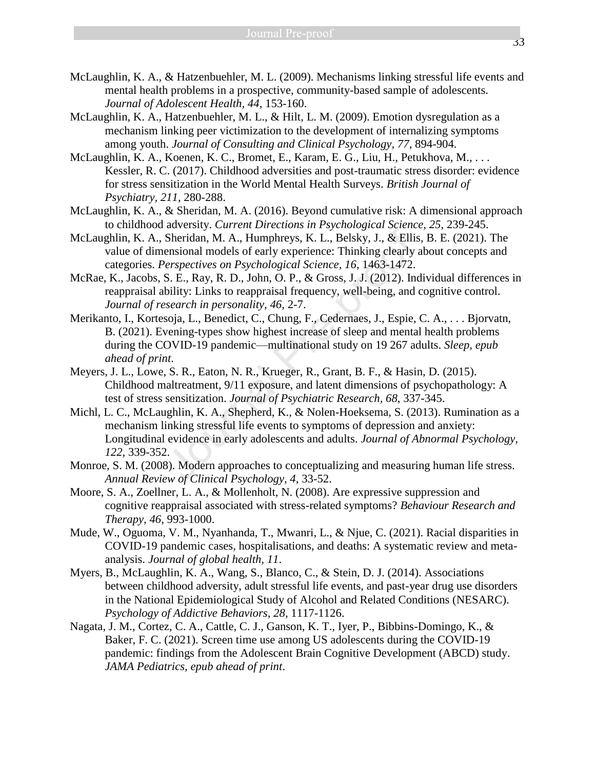- McLaughlin, K. A., & Hatzenbuehler, M. L. (2009). Mechanisms linking stressful life events and mental health problems in a prospective, community-based sample of adolescents. *Journal of Adolescent Health, 44*, 153-160.
- McLaughlin, K. A., Hatzenbuehler, M. L., & Hilt, L. M. (2009). Emotion dysregulation as a mechanism linking peer victimization to the development of internalizing symptoms among youth. *Journal of Consulting and Clinical Psychology, 77*, 894-904.
- McLaughlin, K. A., Koenen, K. C., Bromet, E., Karam, E. G., Liu, H., Petukhova, M., . . . Kessler, R. C. (2017). Childhood adversities and post-traumatic stress disorder: evidence for stress sensitization in the World Mental Health Surveys. *British Journal of Psychiatry, 211*, 280-288.
- McLaughlin, K. A., & Sheridan, M. A. (2016). Beyond cumulative risk: A dimensional approach to childhood adversity. *Current Directions in Psychological Science, 25*, 239-245.
- McLaughlin, K. A., Sheridan, M. A., Humphreys, K. L., Belsky, J., & Ellis, B. E. (2021). The value of dimensional models of early experience: Thinking clearly about concepts and categories. *Perspectives on Psychological Science, 16*, 1463-1472.
- McRae, K., Jacobs, S. E., Ray, R. D., John, O. P., & Gross, J. J. (2012). Individual differences in reappraisal ability: Links to reappraisal frequency, well-being, and cognitive control. *Journal of research in personality, 46*, 2-7.
- Merikanto, I., Kortesoja, L., Benedict, C., Chung, F., Cedernaes, J., Espie, C. A., . . . Bjorvatn, B. (2021). Evening-types show highest increase of sleep and mental health problems during the COVID-19 pandemic—multinational study on 19 267 adults. *Sleep, epub ahead of print*.
- Meyers, J. L., Lowe, S. R., Eaton, N. R., Krueger, R., Grant, B. F., & Hasin, D. (2015). Childhood maltreatment, 9/11 exposure, and latent dimensions of psychopathology: A test of stress sensitization. *Journal of Psychiatric Research, 68*, 337-345.
- Michl, L. C., McLaughlin, K. A., Shepherd, K., & Nolen-Hoeksema, S. (2013). Rumination as a mechanism linking stressful life events to symptoms of depression and anxiety: Longitudinal evidence in early adolescents and adults. *Journal of Abnormal Psychology, 122*, 339-352. area in M. A., Humphreys, K. L., Belsky, J., & Ellis<br>
ensional models of early experience: Thinking clearly<br>
derspectives on Psychological Science, 16, 1463-1472.<br>
S. E., Ray, R. D., John, O. P., & Gross, J. J. (2012). In<br>
- Monroe, S. M. (2008). Modern approaches to conceptualizing and measuring human life stress. *Annual Review of Clinical Psychology, 4*, 33-52.
- Moore, S. A., Zoellner, L. A., & Mollenholt, N. (2008). Are expressive suppression and cognitive reappraisal associated with stress-related symptoms? *Behaviour Research and Therapy, 46*, 993-1000.
- Mude, W., Oguoma, V. M., Nyanhanda, T., Mwanri, L., & Njue, C. (2021). Racial disparities in COVID-19 pandemic cases, hospitalisations, and deaths: A systematic review and metaanalysis. *Journal of global health, 11*.
- Myers, B., McLaughlin, K. A., Wang, S., Blanco, C., & Stein, D. J. (2014). Associations between childhood adversity, adult stressful life events, and past-year drug use disorders in the National Epidemiological Study of Alcohol and Related Conditions (NESARC). *Psychology of Addictive Behaviors, 28*, 1117-1126.
- Nagata, J. M., Cortez, C. A., Cattle, C. J., Ganson, K. T., Iyer, P., Bibbins-Domingo, K., & Baker, F. C. (2021). Screen time use among US adolescents during the COVID-19 pandemic: findings from the Adolescent Brain Cognitive Development (ABCD) study. *JAMA Pediatrics, epub ahead of print*.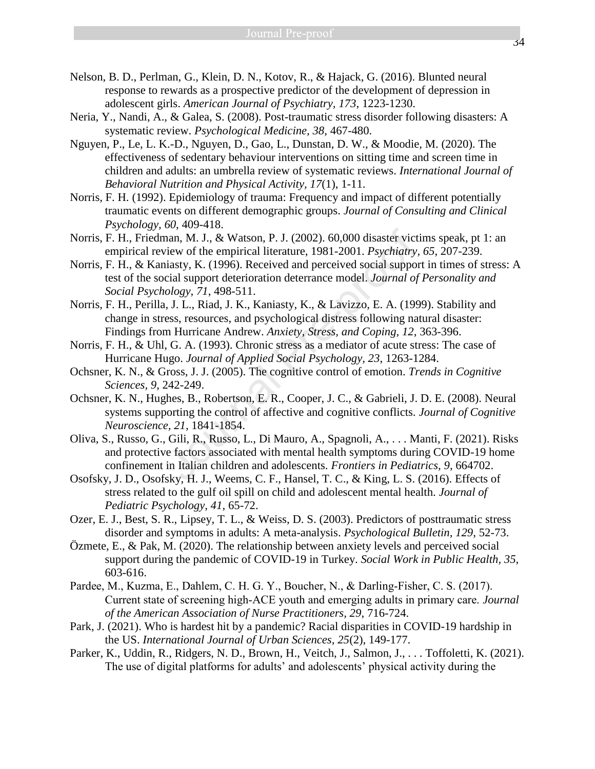- Nelson, B. D., Perlman, G., Klein, D. N., Kotov, R., & Hajack, G. (2016). Blunted neural response to rewards as a prospective predictor of the development of depression in adolescent girls. *American Journal of Psychiatry, 173*, 1223-1230.
- Neria, Y., Nandi, A., & Galea, S. (2008). Post-traumatic stress disorder following disasters: A systematic review. *Psychological Medicine, 38*, 467-480.
- Nguyen, P., Le, L. K.-D., Nguyen, D., Gao, L., Dunstan, D. W., & Moodie, M. (2020). The effectiveness of sedentary behaviour interventions on sitting time and screen time in children and adults: an umbrella review of systematic reviews. *International Journal of Behavioral Nutrition and Physical Activity, 17*(1), 1-11.
- Norris, F. H. (1992). Epidemiology of trauma: Frequency and impact of different potentially traumatic events on different demographic groups. *Journal of Consulting and Clinical Psychology, 60*, 409-418.
- Norris, F. H., Friedman, M. J., & Watson, P. J. (2002). 60,000 disaster victims speak, pt 1: an empirical review of the empirical literature, 1981-2001. *Psychiatry, 65*, 207-239.
- Norris, F. H., & Kaniasty, K. (1996). Received and perceived social support in times of stress: A test of the social support deterioration deterrance model. *Journal of Personality and Social Psychology, 71*, 498-511.
- Norris, F. H., Perilla, J. L., Riad, J. K., Kaniasty, K., & Lavizzo, E. A. (1999). Stability and change in stress, resources, and psychological distress following natural disaster: Findings from Hurricane Andrew. *Anxiety, Stress, and Coping, 12*, 363-396. ora, M. J., & Watson, P. J. (2002). 60,000 disaster vict<br>view of the empirical literature, 1981-2001. *Psychiatry*,<br>inasty, K. (1996). Received and perceived social suppooi<br>cial support deterioration deterrance model. *Jo*
- Norris, F. H., & Uhl, G. A. (1993). Chronic stress as a mediator of acute stress: The case of Hurricane Hugo. *Journal of Applied Social Psychology, 23*, 1263-1284.
- Ochsner, K. N., & Gross, J. J. (2005). The cognitive control of emotion. *Trends in Cognitive Sciences, 9*, 242-249.
- Ochsner, K. N., Hughes, B., Robertson, E. R., Cooper, J. C., & Gabrieli, J. D. E. (2008). Neural systems supporting the control of affective and cognitive conflicts. *Journal of Cognitive Neuroscience, 21*, 1841-1854.
- Oliva, S., Russo, G., Gili, R., Russo, L., Di Mauro, A., Spagnoli, A., . . . Manti, F. (2021). Risks and protective factors associated with mental health symptoms during COVID-19 home confinement in Italian children and adolescents. *Frontiers in Pediatrics, 9*, 664702.
- Osofsky, J. D., Osofsky, H. J., Weems, C. F., Hansel, T. C., & King, L. S. (2016). Effects of stress related to the gulf oil spill on child and adolescent mental health. *Journal of Pediatric Psychology, 41*, 65-72.
- Ozer, E. J., Best, S. R., Lipsey, T. L., & Weiss, D. S. (2003). Predictors of posttraumatic stress disorder and symptoms in adults: A meta-analysis. *Psychological Bulletin, 129*, 52-73.
- Özmete, E., & Pak, M. (2020). The relationship between anxiety levels and perceived social support during the pandemic of COVID-19 in Turkey. *Social Work in Public Health, 35*, 603-616.
- Pardee, M., Kuzma, E., Dahlem, C. H. G. Y., Boucher, N., & Darling-Fisher, C. S. (2017). Current state of screening high‐ACE youth and emerging adults in primary care. *Journal of the American Association of Nurse Practitioners, 29*, 716-724.
- Park, J. (2021). Who is hardest hit by a pandemic? Racial disparities in COVID-19 hardship in the US. *International Journal of Urban Sciences, 25*(2), 149-177.
- Parker, K., Uddin, R., Ridgers, N. D., Brown, H., Veitch, J., Salmon, J., . . . Toffoletti, K. (2021). The use of digital platforms for adults' and adolescents' physical activity during the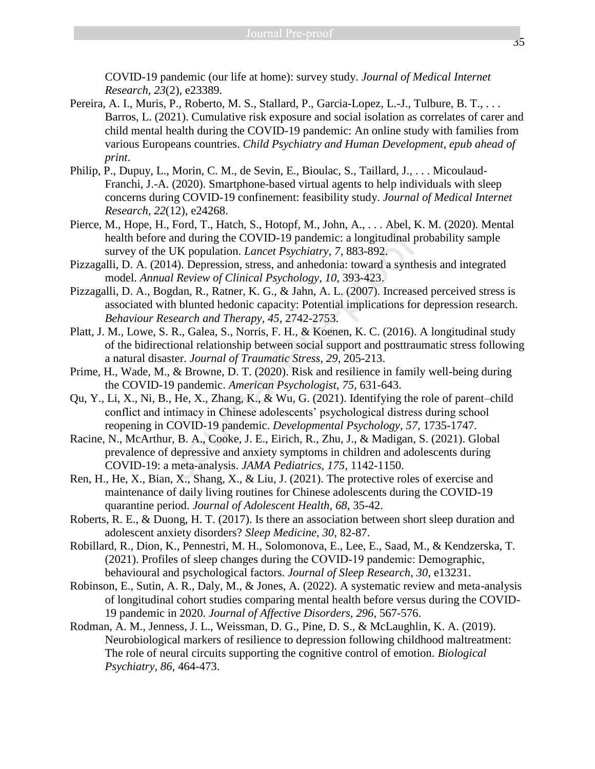COVID-19 pandemic (our life at home): survey study. *Journal of Medical Internet Research, 23*(2), e23389.

- Pereira, A. I., Muris, P., Roberto, M. S., Stallard, P., Garcia-Lopez, L.-J., Tulbure, B. T., . . . Barros, L. (2021). Cumulative risk exposure and social isolation as correlates of carer and child mental health during the COVID-19 pandemic: An online study with families from various Europeans countries. *Child Psychiatry and Human Development, epub ahead of print*.
- Philip, P., Dupuy, L., Morin, C. M., de Sevin, E., Bioulac, S., Taillard, J., . . . Micoulaud-Franchi, J.-A. (2020). Smartphone-based virtual agents to help individuals with sleep concerns during COVID-19 confinement: feasibility study. *Journal of Medical Internet Research, 22*(12), e24268.
- Pierce, M., Hope, H., Ford, T., Hatch, S., Hotopf, M., John, A., . . . Abel, K. M. (2020). Mental health before and during the COVID-19 pandemic: a longitudinal probability sample survey of the UK population. *Lancet Psychiatry, 7*, 883-892.
- Pizzagalli, D. A. (2014). Depression, stress, and anhedonia: toward a synthesis and integrated model. *Annual Review of Clinical Psychology, 10*, 393-423.
- Pizzagalli, D. A., Bogdan, R., Ratner, K. G., & Jahn, A. L. (2007). Increased perceived stress is associated with blunted hedonic capacity: Potential implications for depression research. *Behaviour Research and Therapy, 45*, 2742-2753. *n*, and during the COVID-19 pandemic: a longitudinal p<br> *e* and during the COVID-19 pandemic: a longitudinal p<br> *UK* population. *Lancet Psychiatry*, 7, 883-892.<br>
114). Depression, stress, and anhedonia: toward a synth<br>
- Platt, J. M., Lowe, S. R., Galea, S., Norris, F. H., & Koenen, K. C. (2016). A longitudinal study of the bidirectional relationship between social support and posttraumatic stress following a natural disaster. *Journal of Traumatic Stress, 29*, 205-213.
- Prime, H., Wade, M., & Browne, D. T. (2020). Risk and resilience in family well-being during the COVID-19 pandemic. *American Psychologist, 75*, 631-643.
- Qu, Y., Li, X., Ni, B., He, X., Zhang, K., & Wu, G. (2021). Identifying the role of parent–child conflict and intimacy in Chinese adolescents' psychological distress during school reopening in COVID-19 pandemic. *Developmental Psychology, 57*, 1735-1747.
- Racine, N., McArthur, B. A., Cooke, J. E., Eirich, R., Zhu, J., & Madigan, S. (2021). Global prevalence of depressive and anxiety symptoms in children and adolescents during COVID-19: a meta-analysis. *JAMA Pediatrics, 175*, 1142-1150.
- Ren, H., He, X., Bian, X., Shang, X., & Liu, J. (2021). The protective roles of exercise and maintenance of daily living routines for Chinese adolescents during the COVID-19 quarantine period. *Journal of Adolescent Health, 68*, 35-42.
- Roberts, R. E., & Duong, H. T. (2017). Is there an association between short sleep duration and adolescent anxiety disorders? *Sleep Medicine, 30*, 82-87.
- Robillard, R., Dion, K., Pennestri, M. H., Solomonova, E., Lee, E., Saad, M., & Kendzerska, T. (2021). Profiles of sleep changes during the COVID‐19 pandemic: Demographic, behavioural and psychological factors. *Journal of Sleep Research, 30*, e13231.
- Robinson, E., Sutin, A. R., Daly, M., & Jones, A. (2022). A systematic review and meta-analysis of longitudinal cohort studies comparing mental health before versus during the COVID-19 pandemic in 2020. *Journal of Affective Disorders, 296*, 567-576.
- Rodman, A. M., Jenness, J. L., Weissman, D. G., Pine, D. S., & McLaughlin, K. A. (2019). Neurobiological markers of resilience to depression following childhood maltreatment: The role of neural circuits supporting the cognitive control of emotion. *Biological Psychiatry, 86*, 464-473.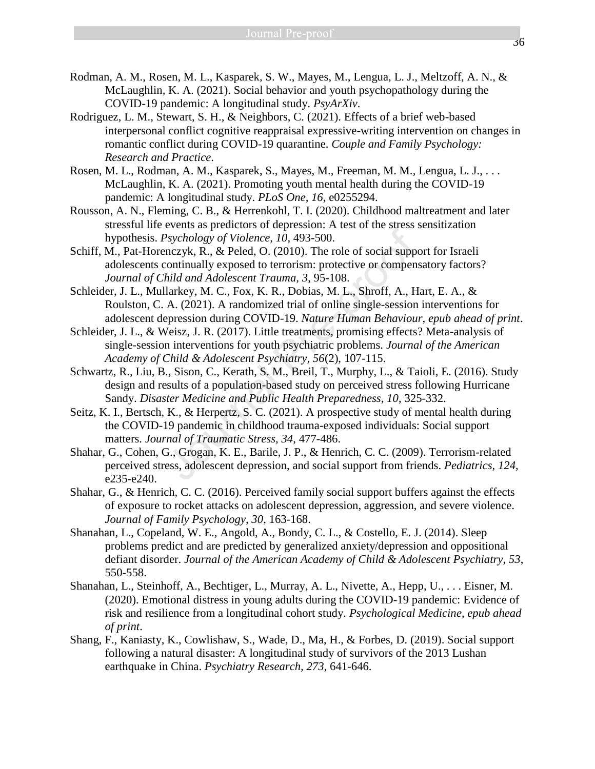- Rodman, A. M., Rosen, M. L., Kasparek, S. W., Mayes, M., Lengua, L. J., Meltzoff, A. N., & McLaughlin, K. A. (2021). Social behavior and youth psychopathology during the COVID-19 pandemic: A longitudinal study. *PsyArXiv*.
- Rodriguez, L. M., Stewart, S. H., & Neighbors, C. (2021). Effects of a brief web-based interpersonal conflict cognitive reappraisal expressive-writing intervention on changes in romantic conflict during COVID-19 quarantine. *Couple and Family Psychology: Research and Practice*.
- Rosen, M. L., Rodman, A. M., Kasparek, S., Mayes, M., Freeman, M. M., Lengua, L. J., . . . McLaughlin, K. A. (2021). Promoting youth mental health during the COVID-19 pandemic: A longitudinal study. *PLoS One, 16*, e0255294.
- Rousson, A. N., Fleming, C. B., & Herrenkohl, T. I. (2020). Childhood maltreatment and later stressful life events as predictors of depression: A test of the stress sensitization hypothesis. *Psychology of Violence, 10*, 493-500.
- Schiff, M., Pat-Horenczyk, R., & Peled, O. (2010). The role of social support for Israeli adolescents continually exposed to terrorism: protective or compensatory factors? *Journal of Child and Adolescent Trauma, 3*, 95-108.
- Schleider, J. L., Mullarkey, M. C., Fox, K. R., Dobias, M. L., Shroff, A., Hart, E. A., & Roulston, C. A. (2021). A randomized trial of online single-session interventions for adolescent depression during COVID-19. *Nature Human Behaviour, epub ahead of print*. Psychology of Violence, 10, 493-500.<br>Psychology of Violence, 10, 493-500.<br>Psychology of Violence, 10, 493-500.<br>The results of social supportinually exposed to terrorism: protective or compensition<br>Initial and Adolescent Tr
- Schleider, J. L., & Weisz, J. R. (2017). Little treatments, promising effects? Meta-analysis of single-session interventions for youth psychiatric problems. *Journal of the American Academy of Child & Adolescent Psychiatry, 56*(2), 107-115.
- Schwartz, R., Liu, B., Sison, C., Kerath, S. M., Breil, T., Murphy, L., & Taioli, E. (2016). Study design and results of a population-based study on perceived stress following Hurricane Sandy. *Disaster Medicine and Public Health Preparedness, 10*, 325-332.
- Seitz, K. I., Bertsch, K., & Herpertz, S. C. (2021). A prospective study of mental health during the COVID-19 pandemic in childhood trauma-exposed individuals: Social support matters. *Journal of Traumatic Stress, 34*, 477-486.
- Shahar, G., Cohen, G., Grogan, K. E., Barile, J. P., & Henrich, C. C. (2009). Terrorism-related perceived stress, adolescent depression, and social support from friends. *Pediatrics, 124*, e235-e240.
- Shahar, G., & Henrich, C. C. (2016). Perceived family social support buffers against the effects of exposure to rocket attacks on adolescent depression, aggression, and severe violence. *Journal of Family Psychology, 30*, 163-168.
- Shanahan, L., Copeland, W. E., Angold, A., Bondy, C. L., & Costello, E. J. (2014). Sleep problems predict and are predicted by generalized anxiety/depression and oppositional defiant disorder. *Journal of the American Academy of Child & Adolescent Psychiatry, 53*, 550-558.
- Shanahan, L., Steinhoff, A., Bechtiger, L., Murray, A. L., Nivette, A., Hepp, U., . . . Eisner, M. (2020). Emotional distress in young adults during the COVID-19 pandemic: Evidence of risk and resilience from a longitudinal cohort study. *Psychological Medicine, epub ahead of print*.
- Shang, F., Kaniasty, K., Cowlishaw, S., Wade, D., Ma, H., & Forbes, D. (2019). Social support following a natural disaster: A longitudinal study of survivors of the 2013 Lushan earthquake in China. *Psychiatry Research, 273*, 641-646.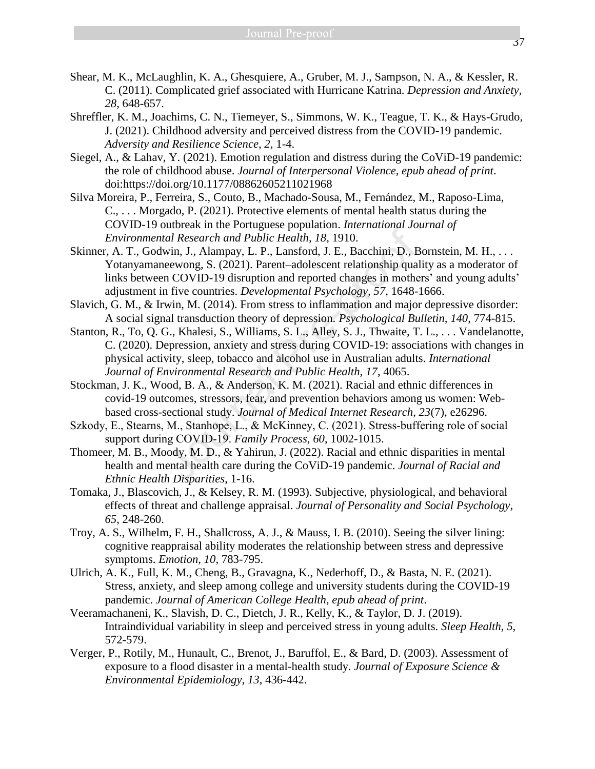- Shear, M. K., McLaughlin, K. A., Ghesquiere, A., Gruber, M. J., Sampson, N. A., & Kessler, R. C. (2011). Complicated grief associated with Hurricane Katrina. *Depression and Anxiety, 28*, 648-657.
- Shreffler, K. M., Joachims, C. N., Tiemeyer, S., Simmons, W. K., Teague, T. K., & Hays-Grudo, J. (2021). Childhood adversity and perceived distress from the COVID-19 pandemic. *Adversity and Resilience Science, 2*, 1-4.
- Siegel, A., & Lahav, Y. (2021). Emotion regulation and distress during the CoViD-19 pandemic: the role of childhood abuse. *Journal of Interpersonal Violence, epub ahead of print*. doi:https://doi.org/10.1177/08862605211021968
- Silva Moreira, P., Ferreira, S., Couto, B., Machado-Sousa, M., Fernández, M., Raposo-Lima, C., . . . Morgado, P. (2021). Protective elements of mental health status during the COVID-19 outbreak in the Portuguese population. *International Journal of Environmental Research and Public Health, 18*, 1910.
- Skinner, A. T., Godwin, J., Alampay, L. P., Lansford, J. E., Bacchini, D., Bornstein, M. H., . . . Yotanyamaneewong, S. (2021). Parent–adolescent relationship quality as a moderator of links between COVID-19 disruption and reported changes in mothers' and young adults' adjustment in five countries. *Developmental Psychology, 57*, 1648-1666.
- Slavich, G. M., & Irwin, M. (2014). From stress to inflammation and major depressive disorder: A social signal transduction theory of depression. *Psychological Bulletin, 140*, 774-815.
- Stanton, R., To, Q. G., Khalesi, S., Williams, S. L., Alley, S. J., Thwaite, T. L., . . . Vandelanotte, C. (2020). Depression, anxiety and stress during COVID-19: associations with changes in physical activity, sleep, tobacco and alcohol use in Australian adults. *International Journal of Environmental Research and Public Health, 17*, 4065. and Research and Public Health, 18, 1910.<br>
Mal Research and Public Health, 18, 1910.<br>
Win, J., Alampay, L. P., Lansford, J. E., Bacchini, D., F.<br>
eewong, S. (2021). Parent-adolescent relationship qua<br>
n COVID-19 disruption
- Stockman, J. K., Wood, B. A., & Anderson, K. M. (2021). Racial and ethnic differences in covid-19 outcomes, stressors, fear, and prevention behaviors among us women: Webbased cross-sectional study. *Journal of Medical Internet Research, 23*(7), e26296.
- Szkody, E., Stearns, M., Stanhope, L., & McKinney, C. (2021). Stress-buffering role of social support during COVID‐19. *Family Process, 60*, 1002-1015.
- Thomeer, M. B., Moody, M. D., & Yahirun, J. (2022). Racial and ethnic disparities in mental health and mental health care during the CoViD-19 pandemic. *Journal of Racial and Ethnic Health Disparities*, 1-16.
- Tomaka, J., Blascovich, J., & Kelsey, R. M. (1993). Subjective, physiological, and behavioral effects of threat and challenge appraisal. *Journal of Personality and Social Psychology, 65*, 248-260.
- Troy, A. S., Wilhelm, F. H., Shallcross, A. J., & Mauss, I. B. (2010). Seeing the silver lining: cognitive reappraisal ability moderates the relationship between stress and depressive symptoms. *Emotion, 10*, 783-795.
- Ulrich, A. K., Full, K. M., Cheng, B., Gravagna, K., Nederhoff, D., & Basta, N. E. (2021). Stress, anxiety, and sleep among college and university students during the COVID-19 pandemic. *Journal of American College Health, epub ahead of print*.
- Veeramachaneni, K., Slavish, D. C., Dietch, J. R., Kelly, K., & Taylor, D. J. (2019). Intraindividual variability in sleep and perceived stress in young adults. *Sleep Health, 5*, 572-579.
- Verger, P., Rotily, M., Hunault, C., Brenot, J., Baruffol, E., & Bard, D. (2003). Assessment of exposure to a flood disaster in a mental-health study. *Journal of Exposure Science & Environmental Epidemiology, 13*, 436-442.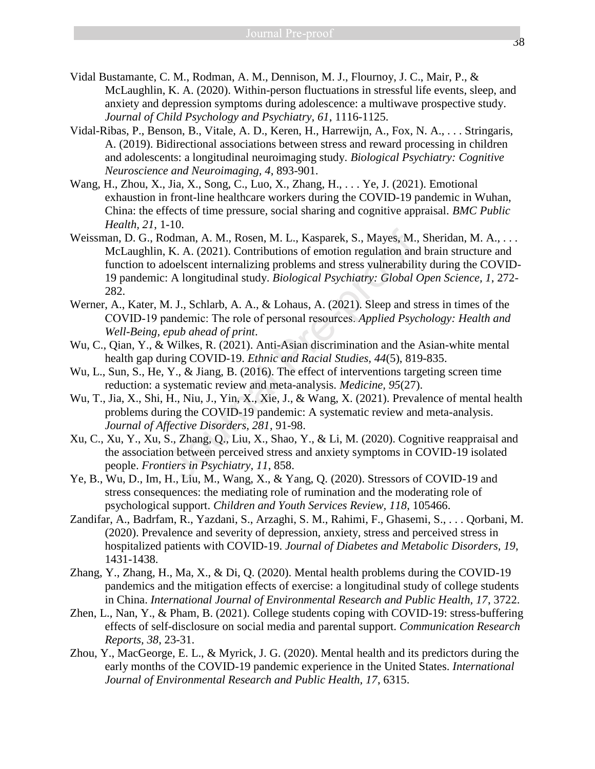- Vidal Bustamante, C. M., Rodman, A. M., Dennison, M. J., Flournoy, J. C., Mair, P., & McLaughlin, K. A. (2020). Within-person fluctuations in stressful life events, sleep, and anxiety and depression symptoms during adolescence: a multiwave prospective study. *Journal of Child Psychology and Psychiatry, 61*, 1116-1125.
- Vidal-Ribas, P., Benson, B., Vitale, A. D., Keren, H., Harrewijn, A., Fox, N. A., . . . Stringaris, A. (2019). Bidirectional associations between stress and reward processing in children and adolescents: a longitudinal neuroimaging study. *Biological Psychiatry: Cognitive Neuroscience and Neuroimaging, 4*, 893-901.
- Wang, H., Zhou, X., Jia, X., Song, C., Luo, X., Zhang, H., . . . Ye, J. (2021). Emotional exhaustion in front-line healthcare workers during the COVID-19 pandemic in Wuhan, China: the effects of time pressure, social sharing and cognitive appraisal. *BMC Public Health, 21*, 1-10.
- Weissman, D. G., Rodman, A. M., Rosen, M. L., Kasparek, S., Mayes, M., Sheridan, M. A., . . . McLaughlin, K. A. (2021). Contributions of emotion regulation and brain structure and function to adoelscent internalizing problems and stress vulnerability during the COVID-19 pandemic: A longitudinal study. *Biological Psychiatry: Global Open Science, 1*, 272- 282. odman, A. M., Rosen, M. L., Kasparek, S., Mayes, M., K. A. (2021). Contributions of emotion regulation and doelscent internalizing problems and stress vulnerabili: A longitudinal study. *Biological Psychiatry: Global* (*A*
- Werner, A., Kater, M. J., Schlarb, A. A., & Lohaus, A. (2021). Sleep and stress in times of the COVID‐19 pandemic: The role of personal resources. *Applied Psychology: Health and Well-Being, epub ahead of print*.
- Wu, C., Qian, Y., & Wilkes, R. (2021). Anti-Asian discrimination and the Asian-white mental health gap during COVID-19. *Ethnic and Racial Studies, 44*(5), 819-835.
- Wu, L., Sun, S., He, Y., & Jiang, B. (2016). The effect of interventions targeting screen time reduction: a systematic review and meta-analysis. *Medicine, 95*(27).
- Wu, T., Jia, X., Shi, H., Niu, J., Yin, X., Xie, J., & Wang, X. (2021). Prevalence of mental health problems during the COVID-19 pandemic: A systematic review and meta-analysis. *Journal of Affective Disorders, 281*, 91-98.
- Xu, C., Xu, Y., Xu, S., Zhang, Q., Liu, X., Shao, Y., & Li, M. (2020). Cognitive reappraisal and the association between perceived stress and anxiety symptoms in COVID-19 isolated people. *Frontiers in Psychiatry, 11*, 858.
- Ye, B., Wu, D., Im, H., Liu, M., Wang, X., & Yang, Q. (2020). Stressors of COVID-19 and stress consequences: the mediating role of rumination and the moderating role of psychological support. *Children and Youth Services Review, 118*, 105466.
- Zandifar, A., Badrfam, R., Yazdani, S., Arzaghi, S. M., Rahimi, F., Ghasemi, S., . . . Qorbani, M. (2020). Prevalence and severity of depression, anxiety, stress and perceived stress in hospitalized patients with COVID-19. *Journal of Diabetes and Metabolic Disorders, 19*, 1431-1438.
- Zhang, Y., Zhang, H., Ma, X., & Di, Q. (2020). Mental health problems during the COVID-19 pandemics and the mitigation effects of exercise: a longitudinal study of college students in China. *International Journal of Environmental Research and Public Health, 17*, 3722.
- Zhen, L., Nan, Y., & Pham, B. (2021). College students coping with COVID-19: stress-buffering effects of self-disclosure on social media and parental support. *Communication Research Reports, 38*, 23-31.
- Zhou, Y., MacGeorge, E. L., & Myrick, J. G. (2020). Mental health and its predictors during the early months of the COVID-19 pandemic experience in the United States. *International Journal of Environmental Research and Public Health, 17*, 6315.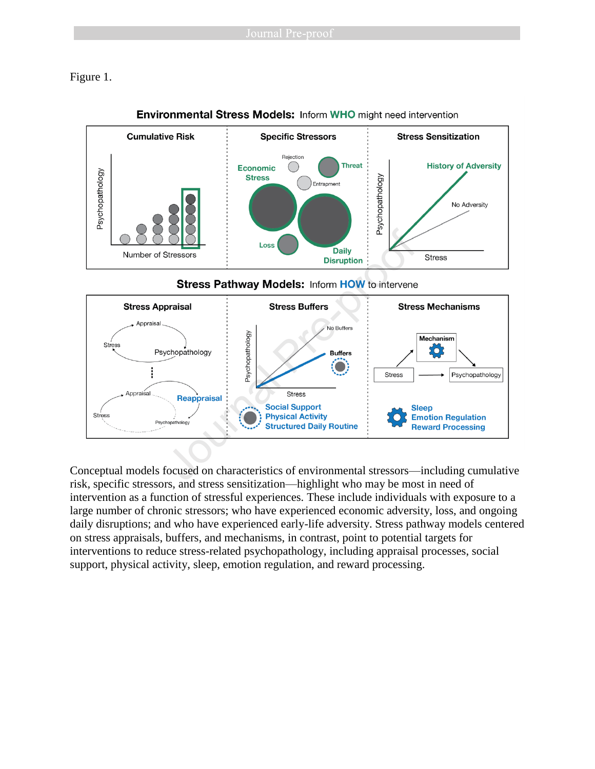Figure 1.



# **Environmental Stress Models: Inform WHO might need intervention**



Conceptual models focused on characteristics of environmental stressors—including cumulative risk, specific stressors, and stress sensitization—highlight who may be most in need of intervention as a function of stressful experiences. These include individuals with exposure to a large number of chronic stressors; who have experienced economic adversity, loss, and ongoing daily disruptions; and who have experienced early-life adversity. Stress pathway models centered on stress appraisals, buffers, and mechanisms, in contrast, point to potential targets for interventions to reduce stress-related psychopathology, including appraisal processes, social support, physical activity, sleep, emotion regulation, and reward processing.